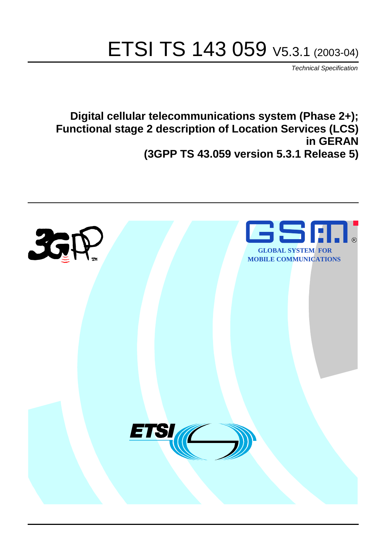# ETSI TS 143 059 V5.3.1 (2003-04)

Technical Specification

**Digital cellular telecommunications system (Phase 2+); Functional stage 2 description of Location Services (LCS) in GERAN (3GPP TS 43.059 version 5.3.1 Release 5)**

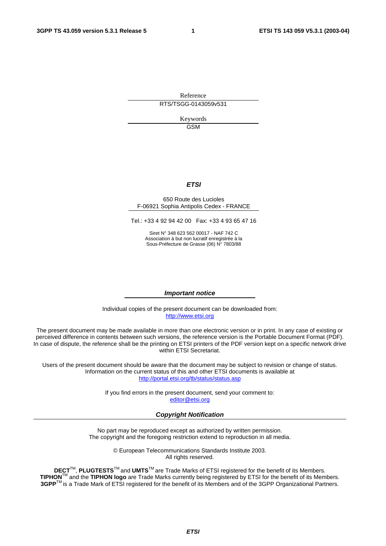Reference RTS/TSGG-0143059v531

> Keywords GSM

#### **ETSI**

#### 650 Route des Lucioles F-06921 Sophia Antipolis Cedex - FRANCE

Tel.: +33 4 92 94 42 00 Fax: +33 4 93 65 47 16

Siret N° 348 623 562 00017 - NAF 742 C Association à but non lucratif enregistrée à la Sous-Préfecture de Grasse (06) N° 7803/88

#### **Important notice**

Individual copies of the present document can be downloaded from: [http://www.etsi.org](http://www.etsi.org/)

The present document may be made available in more than one electronic version or in print. In any case of existing or perceived difference in contents between such versions, the reference version is the Portable Document Format (PDF). In case of dispute, the reference shall be the printing on ETSI printers of the PDF version kept on a specific network drive within ETSI Secretariat.

Users of the present document should be aware that the document may be subject to revision or change of status. Information on the current status of this and other ETSI documents is available at <http://portal.etsi.org/tb/status/status.asp>

> If you find errors in the present document, send your comment to: [editor@etsi.org](mailto:editor@etsi.org)

#### **Copyright Notification**

No part may be reproduced except as authorized by written permission. The copyright and the foregoing restriction extend to reproduction in all media.

> © European Telecommunications Standards Institute 2003. All rights reserved.

**DECT**TM, **PLUGTESTS**TM and **UMTS**TM are Trade Marks of ETSI registered for the benefit of its Members. **TIPHON**TM and the **TIPHON logo** are Trade Marks currently being registered by ETSI for the benefit of its Members. **3GPP**TM is a Trade Mark of ETSI registered for the benefit of its Members and of the 3GPP Organizational Partners.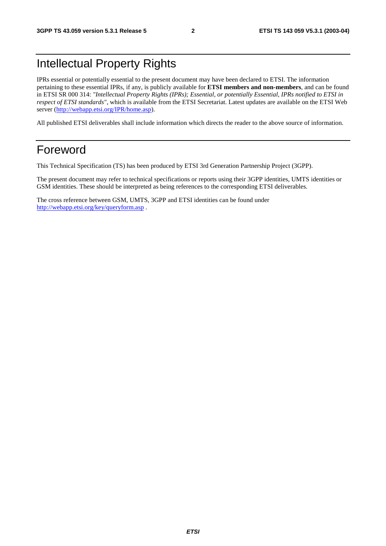## Intellectual Property Rights

IPRs essential or potentially essential to the present document may have been declared to ETSI. The information pertaining to these essential IPRs, if any, is publicly available for **ETSI members and non-members**, and can be found in ETSI SR 000 314: *"Intellectual Property Rights (IPRs); Essential, or potentially Essential, IPRs notified to ETSI in respect of ETSI standards"*, which is available from the ETSI Secretariat. Latest updates are available on the ETSI Web server ([http://webapp.etsi.org/IPR/home.asp\)](http://webapp.etsi.org/IPR/home.asp).

All published ETSI deliverables shall include information which directs the reader to the above source of information.

## Foreword

This Technical Specification (TS) has been produced by ETSI 3rd Generation Partnership Project (3GPP).

The present document may refer to technical specifications or reports using their 3GPP identities, UMTS identities or GSM identities. These should be interpreted as being references to the corresponding ETSI deliverables.

The cross reference between GSM, UMTS, 3GPP and ETSI identities can be found under <http://webapp.etsi.org/key/queryform.asp>.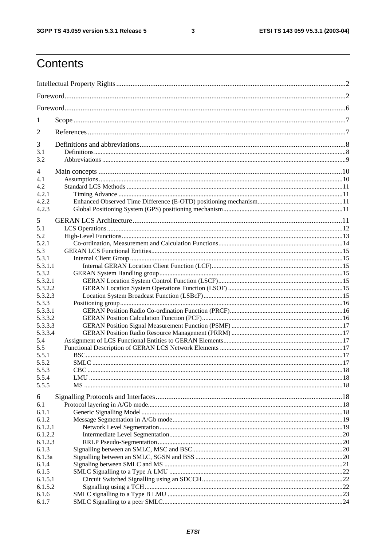$\mathbf{3}$ 

## Contents

| 1                  |  |
|--------------------|--|
| 2                  |  |
| 3                  |  |
| 3.1<br>3.2         |  |
|                    |  |
| 4<br>4.1           |  |
| 4.2                |  |
| 4.2.1              |  |
| 4.2.2              |  |
| 4.2.3              |  |
| 5                  |  |
| 5.1                |  |
| 5.2                |  |
| 5.2.1              |  |
| 5.3                |  |
| 5.3.1              |  |
| 5.3.1.1            |  |
| 5.3.2              |  |
| 5.3.2.1            |  |
| 5.3.2.2            |  |
| 5.3.2.3            |  |
| 5.3.3              |  |
| 5.3.3.1            |  |
| 5.3.3.2            |  |
| 5.3.3.3            |  |
| 5.3.3.4            |  |
| 5.4                |  |
| 5.5                |  |
| 5.5.1              |  |
| 5.5.2<br>5.5.3     |  |
| 5.5.4              |  |
| 5.5.5              |  |
|                    |  |
| 6                  |  |
| 6.1                |  |
| 6.1.1              |  |
| 6.1.2              |  |
| 6.1.2.1<br>6.1.2.2 |  |
| 6.1.2.3            |  |
| 6.1.3              |  |
| 6.1.3a             |  |
| 6.1.4              |  |
| 6.1.5              |  |
| 6.1.5.1            |  |
| 6.1.5.2            |  |
| 6.1.6              |  |
| 6.1.7              |  |
|                    |  |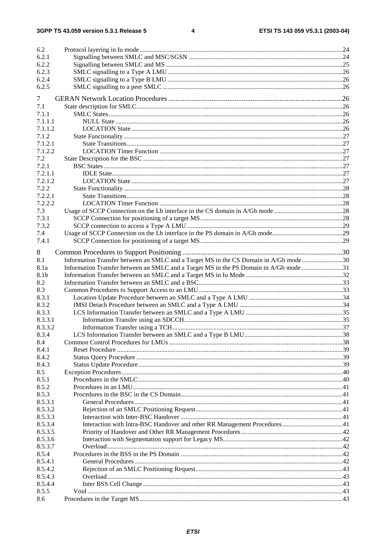$\overline{\mathbf{4}}$ 

| 6.2              |                                                                                       |  |
|------------------|---------------------------------------------------------------------------------------|--|
| 6.2.1            |                                                                                       |  |
| 6.2.2            |                                                                                       |  |
| 6.2.3            |                                                                                       |  |
| 6.2.4            |                                                                                       |  |
| 6.2.5            |                                                                                       |  |
|                  |                                                                                       |  |
| 7                |                                                                                       |  |
| 7.1              |                                                                                       |  |
| 7.1.1            |                                                                                       |  |
| 7.1.1.1          |                                                                                       |  |
| 7.1.1.2          |                                                                                       |  |
| 7.1.2            |                                                                                       |  |
| 7.1.2.1          |                                                                                       |  |
| 7.1.2.2          |                                                                                       |  |
| 7.2              |                                                                                       |  |
| 7.2.1            |                                                                                       |  |
| 7.2.1.1          |                                                                                       |  |
| 7.2.1.2<br>7.2.2 |                                                                                       |  |
|                  |                                                                                       |  |
| 7.2.2.1          |                                                                                       |  |
| 7.2.2.2          |                                                                                       |  |
| 7.3              |                                                                                       |  |
| 7.3.1            |                                                                                       |  |
| 7.3.2            |                                                                                       |  |
| 7.4              |                                                                                       |  |
| 7.4.1            |                                                                                       |  |
| 8                |                                                                                       |  |
| 8.1              | Information Transfer between an SMLC and a Target MS in the CS Domain in A/Gb mode30  |  |
| 8.1a             | Information Transfer between an SMLC and a Target MS in the PS Domain in A/Gb mode 31 |  |
| 8.1b             |                                                                                       |  |
| 8.2              |                                                                                       |  |
| 8.3              |                                                                                       |  |
| 8.3.1            |                                                                                       |  |
| 8.3.2            |                                                                                       |  |
| 8.3.3            |                                                                                       |  |
| 8.3.3.1          |                                                                                       |  |
| 8.3.3.2          |                                                                                       |  |
| 8.3.4            |                                                                                       |  |
| 8.4              |                                                                                       |  |
| 8.4.1            |                                                                                       |  |
| 8.4.2            |                                                                                       |  |
| 8.4.3            |                                                                                       |  |
| 8.5              |                                                                                       |  |
| 8.5.1            |                                                                                       |  |
| 8.5.2            |                                                                                       |  |
| 8.5.3            |                                                                                       |  |
| 8.5.3.1          |                                                                                       |  |
| 8.5.3.2          |                                                                                       |  |
| 8.5.3.3          |                                                                                       |  |
| 8.5.3.4          |                                                                                       |  |
| 8.5.3.5          |                                                                                       |  |
| 8.5.3.6          |                                                                                       |  |
| 8.5.3.7          |                                                                                       |  |
| 8.5.4            |                                                                                       |  |
| 8.5.4.1          |                                                                                       |  |
| 8.5.4.2          |                                                                                       |  |
| 8.5.4.3          |                                                                                       |  |
| 8.5.4.4          |                                                                                       |  |
| 8.5.5            |                                                                                       |  |
| 8.6              |                                                                                       |  |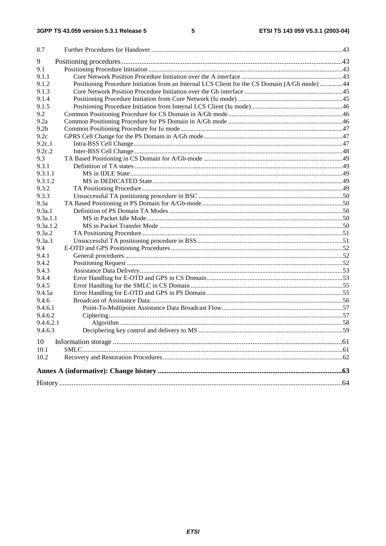| 8.7              |                                                                                               |  |
|------------------|-----------------------------------------------------------------------------------------------|--|
| 9                |                                                                                               |  |
| 9.1              |                                                                                               |  |
| 9.1.1            |                                                                                               |  |
| 9.1.2            | Positioning Procedure Initiation from an Internal LCS Client for the CS Domain (A/Gb mode) 44 |  |
| 9.1.3            |                                                                                               |  |
| 9.1.4            |                                                                                               |  |
| 9.1.5            |                                                                                               |  |
| 9.2              |                                                                                               |  |
| 9.2a             |                                                                                               |  |
| 9.2 <sub>b</sub> |                                                                                               |  |
| 9.2c             |                                                                                               |  |
| 9.2c.1           |                                                                                               |  |
| 9.2c.2           |                                                                                               |  |
| 9.3              |                                                                                               |  |
| 9.3.1            |                                                                                               |  |
| 9.3.1.1          |                                                                                               |  |
| 9.3.1.2          |                                                                                               |  |
| 9.3.2            |                                                                                               |  |
| 9.3.3            |                                                                                               |  |
| 9.3a             |                                                                                               |  |
| 9.3a.1           |                                                                                               |  |
| 9.3a.1.1         |                                                                                               |  |
| 9.3a.1.2         |                                                                                               |  |
| 9.3a.2           |                                                                                               |  |
| 9.3a.3           |                                                                                               |  |
| 9.4              |                                                                                               |  |
| 9.4.1            |                                                                                               |  |
| 9.4.2            |                                                                                               |  |
| 9.4.3            |                                                                                               |  |
| 9.4.4            |                                                                                               |  |
| 9.4.5            |                                                                                               |  |
| 9.4.5a           |                                                                                               |  |
| 9.4.6            |                                                                                               |  |
| 9.4.6.1          |                                                                                               |  |
| 9.4.6.2          |                                                                                               |  |
| 9.4.6.2.1        |                                                                                               |  |
| 9.4.6.3          |                                                                                               |  |
| 10               |                                                                                               |  |
| 10.1             |                                                                                               |  |
| 10.2             |                                                                                               |  |
|                  |                                                                                               |  |
|                  |                                                                                               |  |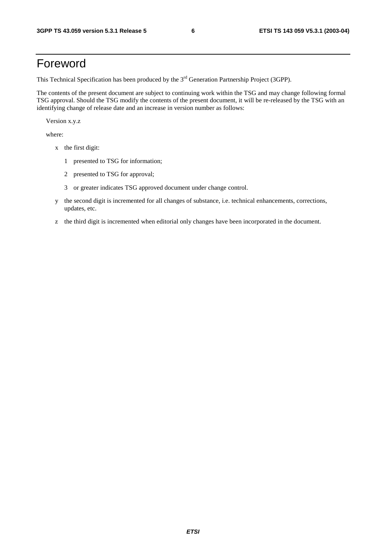## Foreword

This Technical Specification has been produced by the 3<sup>rd</sup> Generation Partnership Project (3GPP).

The contents of the present document are subject to continuing work within the TSG and may change following formal TSG approval. Should the TSG modify the contents of the present document, it will be re-released by the TSG with an identifying change of release date and an increase in version number as follows:

Version x.y.z

where:

- x the first digit:
	- 1 presented to TSG for information;
	- 2 presented to TSG for approval;
	- 3 or greater indicates TSG approved document under change control.
- y the second digit is incremented for all changes of substance, i.e. technical enhancements, corrections, updates, etc.
- z the third digit is incremented when editorial only changes have been incorporated in the document.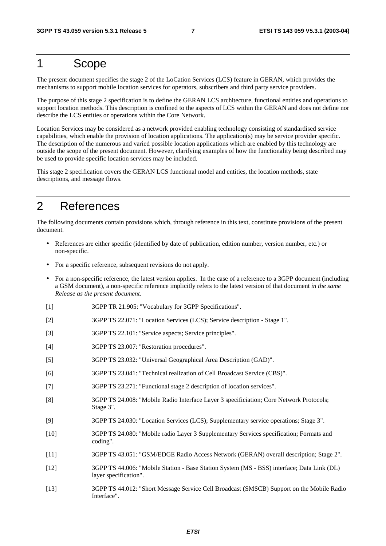## 1 Scope

The present document specifies the stage 2 of the LoCation Services (LCS) feature in GERAN, which provides the mechanisms to support mobile location services for operators, subscribers and third party service providers.

The purpose of this stage 2 specification is to define the GERAN LCS architecture, functional entities and operations to support location methods. This description is confined to the aspects of LCS within the GERAN and does not define nor describe the LCS entities or operations within the Core Network.

Location Services may be considered as a network provided enabling technology consisting of standardised service capabilities, which enable the provision of location applications. The application(s) may be service provider specific. The description of the numerous and varied possible location applications which are enabled by this technology are outside the scope of the present document. However, clarifying examples of how the functionality being described may be used to provide specific location services may be included.

This stage 2 specification covers the GERAN LCS functional model and entities, the location methods, state descriptions, and message flows.

## 2 References

The following documents contain provisions which, through reference in this text, constitute provisions of the present document.

- References are either specific (identified by date of publication, edition number, version number, etc.) or non-specific.
- For a specific reference, subsequent revisions do not apply.
- For a non-specific reference, the latest version applies. In the case of a reference to a 3GPP document (including a GSM document), a non-specific reference implicitly refers to the latest version of that document *in the same Release as the present document*.
- [1] 3GPP TR 21.905: "Vocabulary for 3GPP Specifications".
- [2] 3GPP TS 22.071: "Location Services (LCS); Service description Stage 1".
- [3] 3GPP TS 22.101: "Service aspects; Service principles".
- [4] 3GPP TS 23.007: "Restoration procedures".
- [5] 3GPP TS 23.032: "Universal Geographical Area Description (GAD)".
- [6] 3GPP TS 23.041: "Technical realization of Cell Broadcast Service (CBS)".
- [7] 3GPP TS 23.271: "Functional stage 2 description of location services".
- [8] 3GPP TS 24.008: "Mobile Radio Interface Layer 3 specificiation; Core Network Protocols; Stage 3".
- [9] 3GPP TS 24.030: "Location Services (LCS); Supplementary service operations; Stage 3".
- [10] 3GPP TS 24.080: "Mobile radio Layer 3 Supplementary Services specification; Formats and coding".
- [11] 3GPP TS 43.051: "GSM/EDGE Radio Access Network (GERAN) overall description; Stage 2".
- [12] 3GPP TS 44.006: "Mobile Station Base Station System (MS BSS) interface; Data Link (DL) layer specification".
- [13] 3GPP TS 44.012: "Short Message Service Cell Broadcast (SMSCB) Support on the Mobile Radio Interface".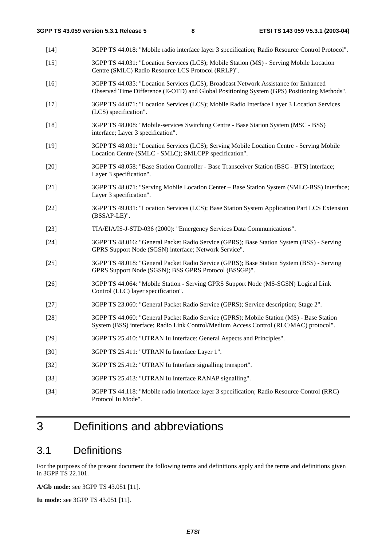- [14] 3GPP TS 44.018: "Mobile radio interface layer 3 specification; Radio Resource Control Protocol". [15] 3GPP TS 44.031: "Location Services (LCS); Mobile Station (MS) - Serving Mobile Location Centre (SMLC) Radio Resource LCS Protocol (RRLP)". [16] 3GPP TS 44.035: "Location Services (LCS); Broadcast Network Assistance for Enhanced Observed Time Difference (E-OTD) and Global Positioning System (GPS) Positioning Methods". [17] 3GPP TS 44.071: "Location Services (LCS); Mobile Radio Interface Layer 3 Location Services (LCS) specification". [18] 3GPP TS 48.008: "Mobile-services Switching Centre - Base Station System (MSC - BSS) interface; Layer 3 specification". [19] 3GPP TS 48.031: "Location Services (LCS); Serving Mobile Location Centre - Serving Mobile Location Centre (SMLC - SMLC); SMLCPP specification". [20] 3GPP TS 48.058: "Base Station Controller - Base Transceiver Station (BSC - BTS) interface; Layer 3 specification". [21] 3GPP TS 48.071: "Serving Mobile Location Center – Base Station System (SMLC-BSS) interface; Layer 3 specification". [22] 3GPP TS 49.031: "Location Services (LCS); Base Station System Application Part LCS Extension (BSSAP-LE)". [23] TIA/EIA/IS-J-STD-036 (2000): "Emergency Services Data Communications". [24] 3GPP TS 48.016: "General Packet Radio Service (GPRS); Base Station System (BSS) - Serving GPRS Support Node (SGSN) interface; Network Service". [25] 3GPP TS 48.018: "General Packet Radio Service (GPRS); Base Station System (BSS) - Serving GPRS Support Node (SGSN); BSS GPRS Protocol (BSSGP)". [26] 3GPP TS 44.064: "Mobile Station - Serving GPRS Support Node (MS-SGSN) Logical Link Control (LLC) layer specification". [27] 3GPP TS 23.060: "General Packet Radio Service (GPRS); Service description; Stage 2". [28] 3GPP TS 44.060: "General Packet Radio Service (GPRS); Mobile Station (MS) - Base Station System (BSS) interface; Radio Link Control/Medium Access Control (RLC/MAC) protocol". [29] 3GPP TS 25.410: "UTRAN Iu Interface: General Aspects and Principles". [30] 3GPP TS 25.411: "UTRAN Iu Interface Layer 1". [32] 3GPP TS 25.412: "UTRAN Iu Interface signalling transport". [33] 3GPP TS 25.413: "UTRAN Iu Interface RANAP signalling".
	- [34] 3GPP TS 44.118: "Mobile radio interface layer 3 specification; Radio Resource Control (RRC) Protocol Iu Mode".

## 3 Definitions and abbreviations

## 3.1 Definitions

For the purposes of the present document the following terms and definitions apply and the terms and definitions given in 3GPP TS 22.101.

**A/Gb mode:** see 3GPP TS 43.051 [11].

**Iu mode:** see 3GPP TS 43.051 [11].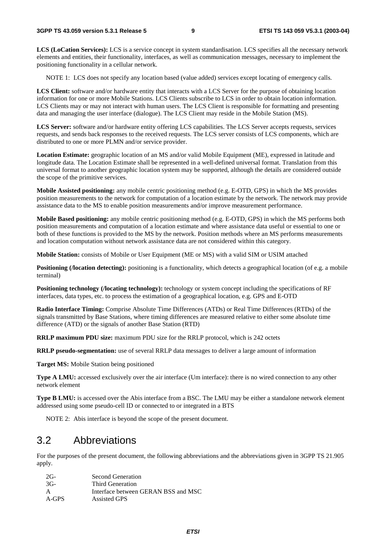**LCS (LoCation Services):** LCS is a service concept in system standardisation. LCS specifies all the necessary network elements and entities, their functionality, interfaces, as well as communication messages, necessary to implement the positioning functionality in a cellular network.

NOTE 1: LCS does not specify any location based (value added) services except locating of emergency calls.

**LCS Client:** software and/or hardware entity that interacts with a LCS Server for the purpose of obtaining location information for one or more Mobile Stations. LCS Clients subscribe to LCS in order to obtain location information. LCS Clients may or may not interact with human users. The LCS Client is responsible for formatting and presenting data and managing the user interface (dialogue). The LCS Client may reside in the Mobile Station (MS).

**LCS Server:** software and/or hardware entity offering LCS capabilities. The LCS Server accepts requests, services requests, and sends back responses to the received requests. The LCS server consists of LCS components, which are distributed to one or more PLMN and/or service provider.

**Location Estimate:** geographic location of an MS and/or valid Mobile Equipment (ME), expressed in latitude and longitude data. The Location Estimate shall be represented in a well-defined universal format. Translation from this universal format to another geographic location system may be supported, although the details are considered outside the scope of the primitive services.

**Mobile Assisted positioning:** any mobile centric positioning method (e.g. E-OTD, GPS) in which the MS provides position measurements to the network for computation of a location estimate by the network. The network may provide assistance data to the MS to enable position measurements and/or improve measurement performance.

**Mobile Based positioning:** any mobile centric positioning method (e.g. E-OTD, GPS) in which the MS performs both position measurements and computation of a location estimate and where assistance data useful or essential to one or both of these functions is provided to the MS by the network. Position methods where an MS performs measurements and location computation without network assistance data are not considered within this category.

**Mobile Station:** consists of Mobile or User Equipment (ME or MS) with a valid SIM or USIM attached

**Positioning (***l***ocation detecting**): positioning is a functionality, which detects a geographical location (of e.g. a mobile terminal)

**Positioning technology (/locating technology):** technology or system concept including the specifications of RF interfaces, data types, etc. to process the estimation of a geographical location, e.g. GPS and E-OTD

**Radio Interface Timing:** Comprise Absolute Time Differences (ATDs) or Real Time Differences (RTDs) of the signals transmitted by Base Stations, where timing differences are measured relative to either some absolute time difference (ATD) or the signals of another Base Station (RTD)

**RRLP maximum PDU size:** maximum PDU size for the RRLP protocol, which is 242 octets

**RRLP pseudo-segmentation:** use of several RRLP data messages to deliver a large amount of information

**Target MS:** Mobile Station being positioned

**Type A LMU:** accessed exclusively over the air interface (Um interface): there is no wired connection to any other network element

**Type B LMU:** is accessed over the Abis interface from a BSC. The LMU may be either a standalone network element addressed using some pseudo-cell ID or connected to or integrated in a BTS

NOTE 2: Abis interface is beyond the scope of the present document.

### 3.2 Abbreviations

For the purposes of the present document, the following abbreviations and the abbreviations given in 3GPP TS 21.905 apply.

| $2G-$ | Second Generation                   |
|-------|-------------------------------------|
| 3G-   | Third Generation                    |
| А     | Interface between GERAN BSS and MSC |
| A-GPS | Assisted GPS                        |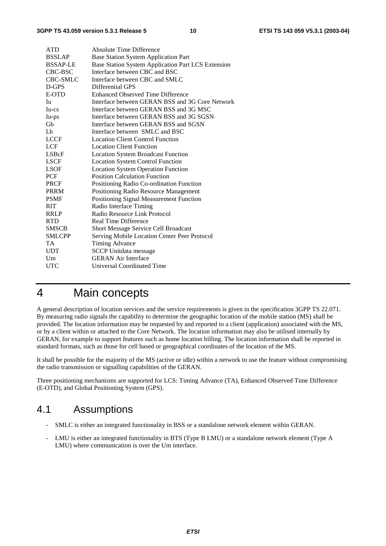| <b>ATD</b>      | Absolute Time Difference                           |
|-----------------|----------------------------------------------------|
| <b>BSSLAP</b>   | <b>Base Station System Application Part</b>        |
| <b>BSSAP-LE</b> | Base Station System Application Part LCS Extension |
| CBC-BSC         | Interface between CBC and BSC                      |
| <b>CBC-SMLC</b> | Interface between CBC and SMLC                     |
| D-GPS           | Differential GPS                                   |
| E-OTD           | <b>Enhanced Observed Time Difference</b>           |
| Iu              | Interface between GERAN BSS and 3G Core Network    |
| Iu-cs           | Interface between GERAN BSS and 3G MSC             |
| Iu-ps           | Interface between GERAN BSS and 3G SGSN            |
| Gb              | Interface between GERAN BSS and SGSN               |
| Lb              | Interface between SMLC and BSC                     |
| <b>LCCF</b>     | <b>Location Client Control Function</b>            |
| <b>LCF</b>      | <b>Location Client Function</b>                    |
| <b>LSBcF</b>    | <b>Location System Broadcast Function</b>          |
| <b>LSCF</b>     | <b>Location System Control Function</b>            |
| <b>LSOF</b>     | <b>Location System Operation Function</b>          |
| PCF             | <b>Position Calculation Function</b>               |
| <b>PRCF</b>     | Positioning Radio Co-ordination Function           |
| <b>PRRM</b>     | Positioning Radio Resource Management              |
| <b>PSMF</b>     | Positioning Signal Measurement Function            |
| RIT             | Radio Interface Timing                             |
| <b>RRLP</b>     | Radio Resource Link Protocol                       |
| <b>RTD</b>      | <b>Real Time Difference</b>                        |
| <b>SMSCB</b>    | <b>Short Message Service Cell Broadcast</b>        |
| <b>SMLCPP</b>   | Serving Mobile Location Center Peer Protocol       |
| TA              | Timing Advance                                     |
| <b>UDT</b>      | <b>SCCP</b> Unitdata message                       |
| Um              | <b>GERAN Air Interface</b>                         |
| UTC             | <b>Universal Coordinated Time</b>                  |
|                 |                                                    |

## 4 Main concepts

A general description of location services and the service requirements is given in the specification 3GPP TS 22.071. By measuring radio signals the capability to determine the geographic location of the mobile station (MS) shall be provided. The location information may be requested by and reported to a client (application) associated with the MS, or by a client within or attached to the Core Network. The location information may also be utilised internally by GERAN, for example to support features such as home location billing. The location information shall be reported in standard formats, such as those for cell based or geographical coordinates of the location of the MS.

It shall be possible for the majority of the MS (active or idle) within a network to use the feature without compromising the radio transmission or signalling capabilities of the GERAN.

Three positioning mechanisms are supported for LCS: Timing Advance (TA), Enhanced Observed Time Difference (E-OTD), and Global Positioning System (GPS).

## 4.1 Assumptions

- SMLC is either an integrated functionality in BSS or a standalone network element within GERAN.
- LMU is either an integrated functionality in BTS (Type B LMU) or a standalone network element (Type A LMU) where communication is over the Um interface.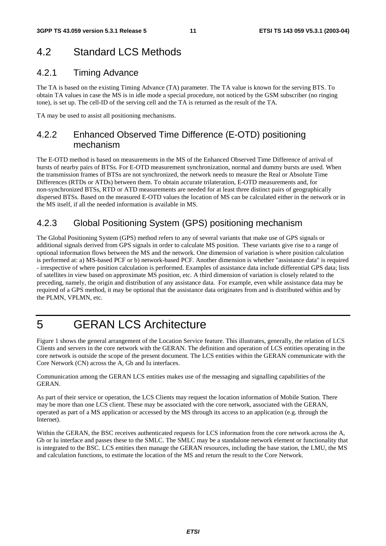## 4.2 Standard LCS Methods

### 4.2.1 Timing Advance

The TA is based on the existing Timing Advance (TA) parameter. The TA value is known for the serving BTS. To obtain TA values in case the MS is in idle mode a special procedure, not noticed by the GSM subscriber (no ringing tone), is set up. The cell-ID of the serving cell and the TA is returned as the result of the TA.

TA may be used to assist all positioning mechanisms.

### 4.2.2 Enhanced Observed Time Difference (E-OTD) positioning mechanism

The E-OTD method is based on measurements in the MS of the Enhanced Observed Time Difference of arrival of bursts of nearby pairs of BTSs. For E-OTD measurement synchronization, normal and dummy bursts are used. When the transmission frames of BTSs are not synchronized, the network needs to measure the Real or Absolute Time Differences (RTDs or ATDs) between them. To obtain accurate trilateration, E-OTD measurements and, for non-synchronized BTSs, RTD or ATD measurements are needed for at least three distinct pairs of geographically dispersed BTSs. Based on the measured E-OTD values the location of MS can be calculated either in the network or in the MS itself, if all the needed information is available in MS.

### 4.2.3 Global Positioning System (GPS) positioning mechanism

The Global Positioning System (GPS) method refers to any of several variants that make use of GPS signals or additional signals derived from GPS signals in order to calculate MS position. These variants give rise to a range of optional information flows between the MS and the network. One dimension of variation is where position calculation is performed at: a) MS-based PCF or b) network-based PCF. Another dimension is whether "assistance data" is required - irrespective of where position calculation is performed. Examples of assistance data include differential GPS data; lists of satellites in view based on approximate MS position, etc. A third dimension of variation is closely related to the preceding, namely, the origin and distribution of any assistance data. For example, even while assistance data may be required of a GPS method, it may be optional that the assistance data originates from and is distributed within and by the PLMN, VPLMN, etc.

## 5 GERAN LCS Architecture

Figure 1 shows the general arrangement of the Location Service feature. This illustrates, generally, the relation of LCS Clients and servers in the core network with the GERAN. The definition and operation of LCS entities operating in the core network is outside the scope of the present document. The LCS entities within the GERAN communicate with the Core Network (CN) across the A, Gb and Iu interfaces.

Communication among the GERAN LCS entities makes use of the messaging and signalling capabilities of the GERAN.

As part of their service or operation, the LCS Clients may request the location information of Mobile Station. There may be more than one LCS client. These may be associated with the core network, associated with the GERAN, operated as part of a MS application or accessed by the MS through its access to an application (e.g. through the Internet).

Within the GERAN, the BSC receives authenticated requests for LCS information from the core network across the A, Gb or Iu interface and passes these to the SMLC. The SMLC may be a standalone network element or functionality that is integrated to the BSC. LCS entities then manage the GERAN resources, including the base station, the LMU, the MS and calculation functions, to estimate the location of the MS and return the result to the Core Network.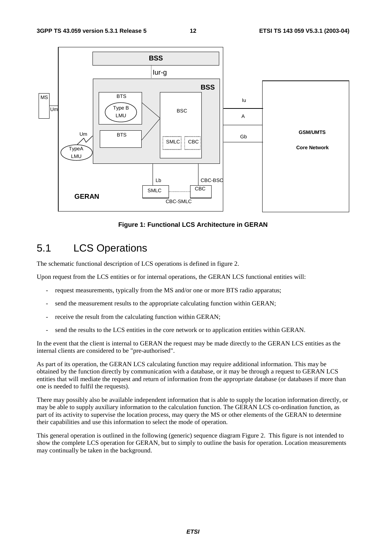

**Figure 1: Functional LCS Architecture in GERAN** 

## 5.1 LCS Operations

The schematic functional description of LCS operations is defined in figure 2.

Upon request from the LCS entities or for internal operations, the GERAN LCS functional entities will:

- request measurements, typically from the MS and/or one or more BTS radio apparatus;
- send the measurement results to the appropriate calculating function within GERAN;
- receive the result from the calculating function within GERAN;
- send the results to the LCS entities in the core network or to application entities within GERAN.

In the event that the client is internal to GERAN the request may be made directly to the GERAN LCS entities as the internal clients are considered to be "pre-authorised".

As part of its operation, the GERAN LCS calculating function may require additional information. This may be obtained by the function directly by communication with a database, or it may be through a request to GERAN LCS entities that will mediate the request and return of information from the appropriate database (or databases if more than one is needed to fulfil the requests).

There may possibly also be available independent information that is able to supply the location information directly, or may be able to supply auxiliary information to the calculation function. The GERAN LCS co-ordination function, as part of its activity to supervise the location process, may query the MS or other elements of the GERAN to determine their capabilities and use this information to select the mode of operation.

This general operation is outlined in the following (generic) sequence diagram Figure 2. This figure is not intended to show the complete LCS operation for GERAN, but to simply to outline the basis for operation. Location measurements may continually be taken in the background.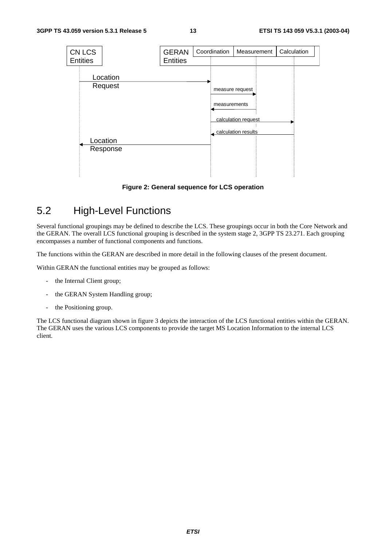

**Figure 2: General sequence for LCS operation**

## 5.2 High-Level Functions

Several functional groupings may be defined to describe the LCS. These groupings occur in both the Core Network and the GERAN. The overall LCS functional grouping is described in the system stage 2, 3GPP TS 23.271. Each grouping encompasses a number of functional components and functions.

The functions within the GERAN are described in more detail in the following clauses of the present document.

Within GERAN the functional entities may be grouped as follows:

- the Internal Client group;
- the GERAN System Handling group;
- the Positioning group.

The LCS functional diagram shown in figure 3 depicts the interaction of the LCS functional entities within the GERAN. The GERAN uses the various LCS components to provide the target MS Location Information to the internal LCS client.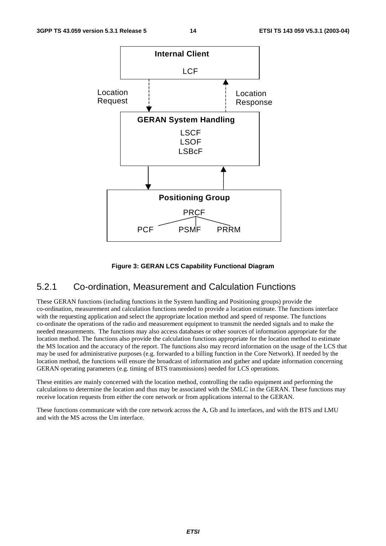

#### **Figure 3: GERAN LCS Capability Functional Diagram**

### 5.2.1 Co-ordination, Measurement and Calculation Functions

These GERAN functions (including functions in the System handling and Positioning groups) provide the co-ordination, measurement and calculation functions needed to provide a location estimate. The functions interface with the requesting application and select the appropriate location method and speed of response. The functions co-ordinate the operations of the radio and measurement equipment to transmit the needed signals and to make the needed measurements. The functions may also access databases or other sources of information appropriate for the location method. The functions also provide the calculation functions appropriate for the location method to estimate the MS location and the accuracy of the report. The functions also may record information on the usage of the LCS that may be used for administrative purposes (e.g. forwarded to a billing function in the Core Network). If needed by the location method, the functions will ensure the broadcast of information and gather and update information concerning GERAN operating parameters (e.g. timing of BTS transmissions) needed for LCS operations.

These entities are mainly concerned with the location method, controlling the radio equipment and performing the calculations to determine the location and thus may be associated with the SMLC in the GERAN. These functions may receive location requests from either the core network or from applications internal to the GERAN.

These functions communicate with the core network across the A, Gb and Iu interfaces, and with the BTS and LMU and with the MS across the Um interface.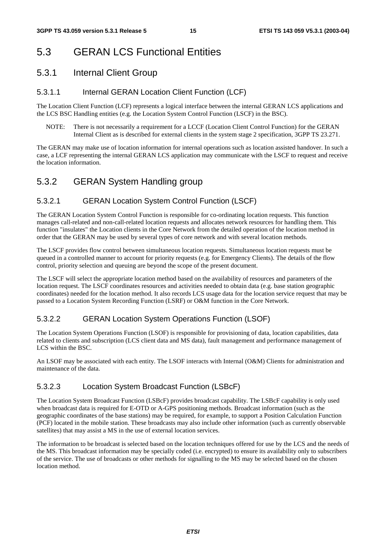## 5.3 GERAN LCS Functional Entities

### 5.3.1 Internal Client Group

### 5.3.1.1 Internal GERAN Location Client Function (LCF)

The Location Client Function (LCF) represents a logical interface between the internal GERAN LCS applications and the LCS BSC Handling entities (e.g. the Location System Control Function (LSCF) in the BSC).

NOTE: There is not necessarily a requirement for a LCCF (Location Client Control Function) for the GERAN Internal Client as is described for external clients in the system stage 2 specification, 3GPP TS 23.271.

The GERAN may make use of location information for internal operations such as location assisted handover. In such a case, a LCF representing the internal GERAN LCS application may communicate with the LSCF to request and receive the location information.

## 5.3.2 GERAN System Handling group

### 5.3.2.1 GERAN Location System Control Function (LSCF)

The GERAN Location System Control Function is responsible for co-ordinating location requests. This function manages call-related and non-call-related location requests and allocates network resources for handling them. This function "insulates" the Location clients in the Core Network from the detailed operation of the location method in order that the GERAN may be used by several types of core network and with several location methods.

The LSCF provides flow control between simultaneous location requests. Simultaneous location requests must be queued in a controlled manner to account for priority requests (e.g. for Emergency Clients). The details of the flow control, priority selection and queuing are beyond the scope of the present document.

The LSCF will select the appropriate location method based on the availability of resources and parameters of the location request. The LSCF coordinates resources and activities needed to obtain data (e.g. base station geographic coordinates) needed for the location method. It also records LCS usage data for the location service request that may be passed to a Location System Recording Function (LSRF) or O&M function in the Core Network.

### 5.3.2.2 GERAN Location System Operations Function (LSOF)

The Location System Operations Function (LSOF) is responsible for provisioning of data, location capabilities, data related to clients and subscription (LCS client data and MS data), fault management and performance management of LCS within the BSC.

An LSOF may be associated with each entity. The LSOF interacts with Internal (O&M) Clients for administration and maintenance of the data.

### 5.3.2.3 Location System Broadcast Function (LSBcF)

The Location System Broadcast Function (LSBcF) provides broadcast capability. The LSBcF capability is only used when broadcast data is required for E-OTD or A-GPS positioning methods. Broadcast information (such as the geographic coordinates of the base stations) may be required, for example, to support a Position Calculation Function (PCF) located in the mobile station. These broadcasts may also include other information (such as currently observable satellites) that may assist a MS in the use of external location services.

The information to be broadcast is selected based on the location techniques offered for use by the LCS and the needs of the MS. This broadcast information may be specially coded (i.e. encrypted) to ensure its availability only to subscribers of the service. The use of broadcasts or other methods for signalling to the MS may be selected based on the chosen location method.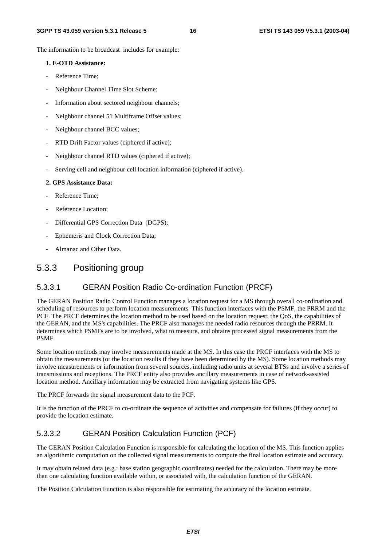The information to be broadcast includes for example:

#### **1. E-OTD Assistance:**

- Reference Time:
- Neighbour Channel Time Slot Scheme;
- Information about sectored neighbour channels;
- Neighbour channel 51 Multiframe Offset values;
- Neighbour channel BCC values;
- RTD Drift Factor values (ciphered if active);
- Neighbour channel RTD values (ciphered if active);
- Serving cell and neighbour cell location information (ciphered if active).

#### **2. GPS Assistance Data:**

- Reference Time:
- Reference Location;
- Differential GPS Correction Data (DGPS);
- Ephemeris and Clock Correction Data;
- Almanac and Other Data.

### 5.3.3 Positioning group

#### 5.3.3.1 GERAN Position Radio Co-ordination Function (PRCF)

The GERAN Position Radio Control Function manages a location request for a MS through overall co-ordination and scheduling of resources to perform location measurements. This function interfaces with the PSMF, the PRRM and the PCF. The PRCF determines the location method to be used based on the location request, the QoS, the capabilities of the GERAN, and the MS's capabilities. The PRCF also manages the needed radio resources through the PRRM. It determines which PSMFs are to be involved, what to measure, and obtains processed signal measurements from the PSMF.

Some location methods may involve measurements made at the MS. In this case the PRCF interfaces with the MS to obtain the measurements (or the location results if they have been determined by the MS). Some location methods may involve measurements or information from several sources, including radio units at several BTSs and involve a series of transmissions and receptions. The PRCF entity also provides ancillary measurements in case of network-assisted location method. Ancillary information may be extracted from navigating systems like GPS.

The PRCF forwards the signal measurement data to the PCF.

It is the function of the PRCF to co-ordinate the sequence of activities and compensate for failures (if they occur) to provide the location estimate.

#### 5.3.3.2 GERAN Position Calculation Function (PCF)

The GERAN Position Calculation Function is responsible for calculating the location of the MS. This function applies an algorithmic computation on the collected signal measurements to compute the final location estimate and accuracy.

It may obtain related data (e.g.: base station geographic coordinates) needed for the calculation. There may be more than one calculating function available within, or associated with, the calculation function of the GERAN.

The Position Calculation Function is also responsible for estimating the accuracy of the location estimate.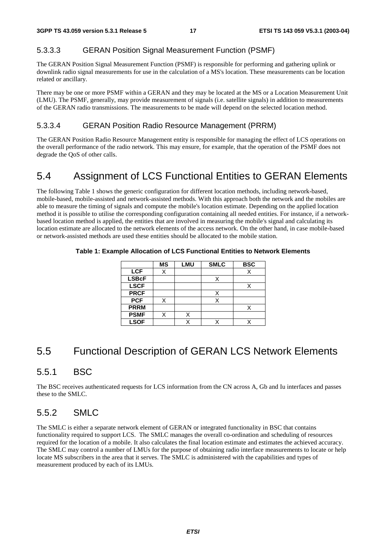#### 5.3.3.3 GERAN Position Signal Measurement Function (PSMF)

The GERAN Position Signal Measurement Function (PSMF) is responsible for performing and gathering uplink or downlink radio signal measurements for use in the calculation of a MS's location. These measurements can be location related or ancillary.

There may be one or more PSMF within a GERAN and they may be located at the MS or a Location Measurement Unit (LMU). The PSMF, generally, may provide measurement of signals (i.e. satellite signals) in addition to measurements of the GERAN radio transmissions. The measurements to be made will depend on the selected location method.

#### 5.3.3.4 GERAN Position Radio Resource Management (PRRM)

The GERAN Position Radio Resource Management entity is responsible for managing the effect of LCS operations on the overall performance of the radio network. This may ensure, for example, that the operation of the PSMF does not degrade the QoS of other calls.

## 5.4 Assignment of LCS Functional Entities to GERAN Elements

The following Table 1 shows the generic configuration for different location methods, including network-based, mobile-based, mobile-assisted and network-assisted methods. With this approach both the network and the mobiles are able to measure the timing of signals and compute the mobile's location estimate. Depending on the applied location method it is possible to utilise the corresponding configuration containing all needed entities. For instance, if a networkbased location method is applied, the entities that are involved in measuring the mobile's signal and calculating its location estimate are allocated to the network elements of the access network. On the other hand, in case mobile-based or network-assisted methods are used these entities should be allocated to the mobile station.

|              | MS | <b>LMU</b> | <b>SMLC</b> | <b>BSC</b> |
|--------------|----|------------|-------------|------------|
| <b>LCF</b>   | X  |            |             |            |
| <b>LSBcF</b> |    |            |             |            |
| <b>LSCF</b>  |    |            |             |            |
| <b>PRCF</b>  |    |            | X           |            |
| <b>PCF</b>   |    |            |             |            |
| <b>PRRM</b>  |    |            |             |            |
| <b>PSMF</b>  | X  |            |             |            |
| <b>LSOF</b>  |    |            |             |            |

#### **Table 1: Example Allocation of LCS Functional Entities to Network Elements**

### 5.5 Functional Description of GERAN LCS Network Elements

### 5.5.1 BSC

The BSC receives authenticated requests for LCS information from the CN across A, Gb and Iu interfaces and passes these to the SMLC.

### 5.5.2 SMLC

The SMLC is either a separate network element of GERAN or integrated functionality in BSC that contains functionality required to support LCS. The SMLC manages the overall co-ordination and scheduling of resources required for the location of a mobile. It also calculates the final location estimate and estimates the achieved accuracy. The SMLC may control a number of LMUs for the purpose of obtaining radio interface measurements to locate or help locate MS subscribers in the area that it serves. The SMLC is administered with the capabilities and types of measurement produced by each of its LMUs.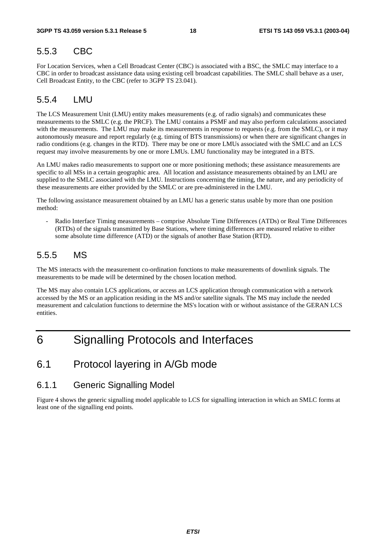### 5.5.3 CBC

For Location Services, when a Cell Broadcast Center (CBC) is associated with a BSC, the SMLC may interface to a CBC in order to broadcast assistance data using existing cell broadcast capabilities. The SMLC shall behave as a user, Cell Broadcast Entity, to the CBC (refer to 3GPP TS 23.041).

### 5.5.4 LMU

The LCS Measurement Unit (LMU) entity makes measurements (e.g. of radio signals) and communicates these measurements to the SMLC (e.g. the PRCF). The LMU contains a PSMF and may also perform calculations associated with the measurements. The LMU may make its measurements in response to requests (e.g. from the SMLC), or it may autonomously measure and report regularly (e.g. timing of BTS transmissions) or when there are significant changes in radio conditions (e.g. changes in the RTD). There may be one or more LMUs associated with the SMLC and an LCS request may involve measurements by one or more LMUs. LMU functionality may be integrated in a BTS.

An LMU makes radio measurements to support one or more positioning methods; these assistance measurements are specific to all MSs in a certain geographic area. All location and assistance measurements obtained by an LMU are supplied to the SMLC associated with the LMU. Instructions concerning the timing, the nature, and any periodicity of these measurements are either provided by the SMLC or are pre-administered in the LMU.

The following assistance measurement obtained by an LMU has a generic status usable by more than one position method:

- Radio Interface Timing measurements – comprise Absolute Time Differences (ATDs) or Real Time Differences (RTDs) of the signals transmitted by Base Stations, where timing differences are measured relative to either some absolute time difference (ATD) or the signals of another Base Station (RTD).

### 5.5.5 MS

The MS interacts with the measurement co-ordination functions to make measurements of downlink signals. The measurements to be made will be determined by the chosen location method.

The MS may also contain LCS applications, or access an LCS application through communication with a network accessed by the MS or an application residing in the MS and/or satellite signals. The MS may include the needed measurement and calculation functions to determine the MS's location with or without assistance of the GERAN LCS entities.

## 6 Signalling Protocols and Interfaces

### 6.1 Protocol layering in A/Gb mode

### 6.1.1 Generic Signalling Model

Figure 4 shows the generic signalling model applicable to LCS for signalling interaction in which an SMLC forms at least one of the signalling end points.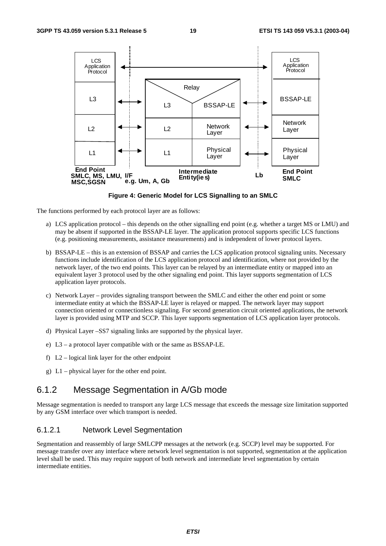

**Figure 4: Generic Model for LCS Signalling to an SMLC** 

The functions performed by each protocol layer are as follows:

- a) LCS application protocol this depends on the other signalling end point (e.g. whether a target MS or LMU) and may be absent if supported in the BSSAP-LE layer. The application protocol supports specific LCS functions (e.g. positioning measurements, assistance measurements) and is independent of lower protocol layers.
- b) BSSAP-LE this is an extension of BSSAP and carries the LCS application protocol signaling units. Necessary functions include identification of the LCS application protocol and identification, where not provided by the network layer, of the two end points. This layer can be relayed by an intermediate entity or mapped into an equivalent layer 3 protocol used by the other signaling end point. This layer supports segmentation of LCS application layer protocols.
- c) Network Layer provides signaling transport between the SMLC and either the other end point or some intermediate entity at which the BSSAP-LE layer is relayed or mapped. The network layer may support connection oriented or connectionless signaling. For second generation circuit oriented applications, the network layer is provided using MTP and SCCP. This layer supports segmentation of LCS application layer protocols.
- d) Physical Layer –SS7 signaling links are supported by the physical layer.
- e) L3 a protocol layer compatible with or the same as BSSAP-LE.
- f) L2 logical link layer for the other endpoint
- g) L1 physical layer for the other end point.

### 6.1.2 Message Segmentation in A/Gb mode

Message segmentation is needed to transport any large LCS message that exceeds the message size limitation supported by any GSM interface over which transport is needed.

#### 6.1.2.1 Network Level Segmentation

Segmentation and reassembly of large SMLCPP messages at the network (e.g. SCCP) level may be supported. For message transfer over any interface where network level segmentation is not supported, segmentation at the application level shall be used. This may require support of both network and intermediate level segmentation by certain intermediate entities.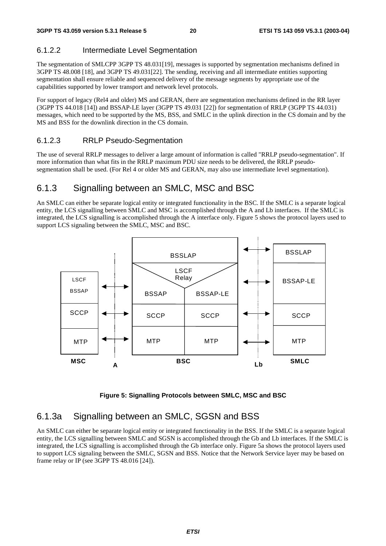### 6.1.2.2 Intermediate Level Segmentation

The segmentation of SMLCPP 3GPP TS 48.031[19], messages is supported by segmentation mechanisms defined in 3GPP TS 48.008 [18], and 3GPP TS 49.031[22]. The sending, receiving and all intermediate entities supporting segmentation shall ensure reliable and sequenced delivery of the message segments by appropriate use of the capabilities supported by lower transport and network level protocols.

For support of legacy (Rel4 and older) MS and GERAN, there are segmentation mechanisms defined in the RR layer (3GPP TS 44.018 [14]) and BSSAP-LE layer (3GPP TS 49.031 [22]) for segmentation of RRLP (3GPP TS 44.031) messages, which need to be supported by the MS, BSS, and SMLC in the uplink direction in the CS domain and by the MS and BSS for the downlink direction in the CS domain.

### 6.1.2.3 RRLP Pseudo-Segmentation

The use of several RRLP messages to deliver a large amount of information is called "RRLP pseudo-segmentation". If more information than what fits in the RRLP maximum PDU size needs to be delivered, the RRLP pseudosegmentation shall be used. (For Rel 4 or older MS and GERAN, may also use intermediate level segmentation).

### 6.1.3 Signalling between an SMLC, MSC and BSC

An SMLC can either be separate logical entity or integrated functionality in the BSC. If the SMLC is a separate logical entity, the LCS signalling between SMLC and MSC is accomplished through the A and Lb interfaces. If the SMLC is integrated, the LCS signalling is accomplished through the A interface only. Figure 5 shows the protocol layers used to support LCS signaling between the SMLC, MSC and BSC.



**Figure 5: Signalling Protocols between SMLC, MSC and BSC** 

### 6.1.3a Signalling between an SMLC, SGSN and BSS

An SMLC can either be separate logical entity or integrated functionality in the BSS. If the SMLC is a separate logical entity, the LCS signalling between SMLC and SGSN is accomplished through the Gb and Lb interfaces. If the SMLC is integrated, the LCS signalling is accomplished through the Gb interface only. Figure 5a shows the protocol layers used to support LCS signaling between the SMLC, SGSN and BSS. Notice that the Network Service layer may be based on frame relay or IP (see 3GPP TS 48.016 [24]).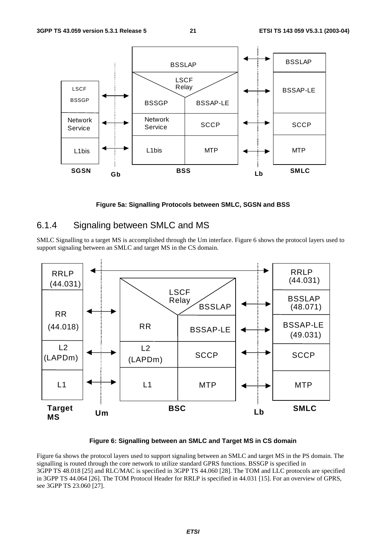

**Figure 5a: Signalling Protocols between SMLC, SGSN and BSS** 

### 6.1.4 Signaling between SMLC and MS

SMLC Signalling to a target MS is accomplished through the Um interface. Figure 6 shows the protocol layers used to support signaling between an SMLC and target MS in the CS domain.



**Figure 6: Signalling between an SMLC and Target MS in CS domain** 

Figure 6a shows the protocol layers used to support signaling between an SMLC and target MS in the PS domain. The signalling is routed through the core network to utilize standard GPRS functions. BSSGP is specified in 3GPP TS 48.018 [25] and RLC/MAC is specified in 3GPP TS 44.060 [28]. The TOM and LLC protocols are specified in 3GPP TS 44.064 [26]. The TOM Protocol Header for RRLP is specified in 44.031 [15]. For an overview of GPRS, see 3GPP TS 23.060 [27].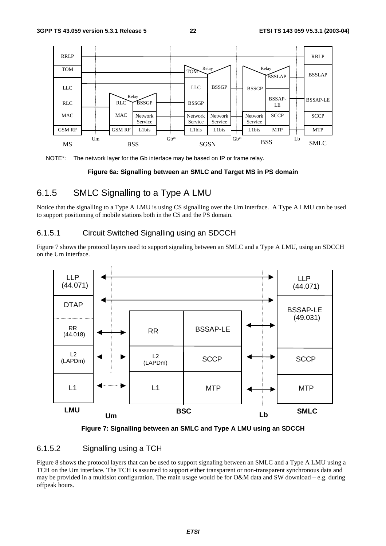



#### **Figure 6a: Signalling between an SMLC and Target MS in PS domain**

### 6.1.5 SMLC Signalling to a Type A LMU

Notice that the signalling to a Type A LMU is using CS signalling over the Um interface. A Type A LMU can be used to support positioning of mobile stations both in the CS and the PS domain.

### 6.1.5.1 Circuit Switched Signalling using an SDCCH

Figure 7 shows the protocol layers used to support signaling between an SMLC and a Type A LMU, using an SDCCH on the Um interface.





#### 6.1.5.2 Signalling using a TCH

Figure 8 shows the protocol layers that can be used to support signaling between an SMLC and a Type A LMU using a TCH on the Um interface. The TCH is assumed to support either transparent or non-transparent synchronous data and may be provided in a multislot configuration. The main usage would be for O&M data and SW download – e.g. during offpeak hours.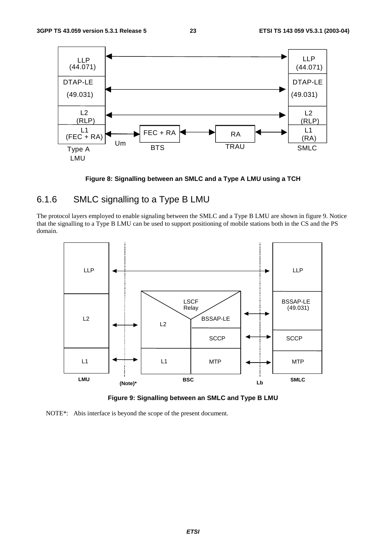

**Figure 8: Signalling between an SMLC and a Type A LMU using a TCH** 

### 6.1.6 SMLC signalling to a Type B LMU

The protocol layers employed to enable signaling between the SMLC and a Type B LMU are shown in figure 9. Notice that the signalling to a Type B LMU can be used to support positioning of mobile stations both in the CS and the PS domain.



**Figure 9: Signalling between an SMLC and Type B LMU** 

NOTE\*: Abis interface is beyond the scope of the present document.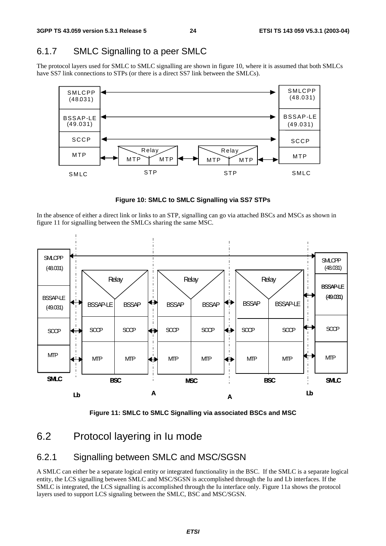### 6.1.7 SMLC Signalling to a peer SMLC

The protocol layers used for SMLC to SMLC signalling are shown in figure 10, where it is assumed that both SMLCs have SS7 link connections to STPs (or there is a direct SS7 link between the SMLCs).



**Figure 10: SMLC to SMLC Signalling via SS7 STPs** 

In the absence of either a direct link or links to an STP, signalling can go via attached BSCs and MSCs as shown in figure 11 for signalling between the SMLCs sharing the same MSC.





## 6.2 Protocol layering in Iu mode

### 6.2.1 Signalling between SMLC and MSC/SGSN

A SMLC can either be a separate logical entity or integrated functionality in the BSC. If the SMLC is a separate logical entity, the LCS signalling between SMLC and MSC/SGSN is accomplished through the Iu and Lb interfaces. If the SMLC is integrated, the LCS signalling is accomplished through the Iu interface only. Figure 11a shows the protocol layers used to support LCS signaling between the SMLC, BSC and MSC/SGSN.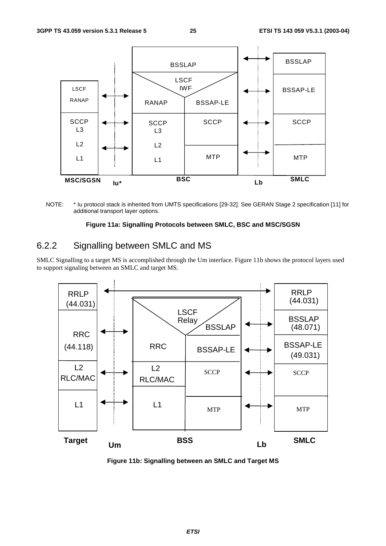

NOTE: \* Iu protocol stack is inherited from UMTS specifications [29-32]. See GERAN Stage 2 specification [11] for additional transport layer options.

#### **Figure 11a: Signalling Protocols between SMLC, BSC and MSC/SGSN**

### 6.2.2 Signalling between SMLC and MS

SMLC Signalling to a target MS is accomplished through the Um interface. Figure 11b shows the protocol layers used to support signaling between an SMLC and target MS.



**Figure 11b: Signalling between an SMLC and Target MS**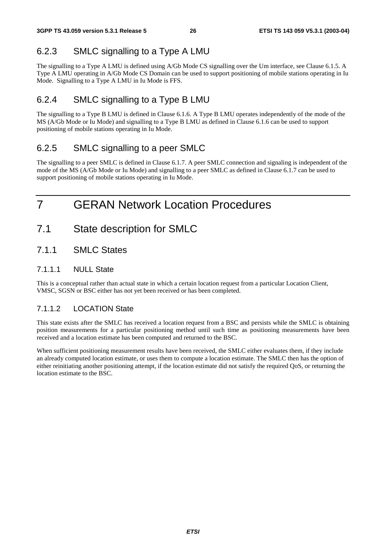### 6.2.3 SMLC signalling to a Type A LMU

The signalling to a Type A LMU is defined using A/Gb Mode CS signalling over the Um interface, see Clause 6.1.5. A Type A LMU operating in A/Gb Mode CS Domain can be used to support positioning of mobile stations operating in Iu Mode. Signalling to a Type A LMU in Iu Mode is FFS.

### 6.2.4 SMLC signalling to a Type B LMU

The signalling to a Type B LMU is defined in Clause 6.1.6. A Type B LMU operates independently of the mode of the MS (A/Gb Mode or Iu Mode) and signalling to a Type B LMU as defined in Clause 6.1.6 can be used to support positioning of mobile stations operating in Iu Mode.

### 6.2.5 SMLC signalling to a peer SMLC

The signalling to a peer SMLC is defined in Clause 6.1.7. A peer SMLC connection and signaling is independent of the mode of the MS (A/Gb Mode or Iu Mode) and signalling to a peer SMLC as defined in Clause 6.1.7 can be used to support positioning of mobile stations operating in Iu Mode.

## 7 GERAN Network Location Procedures

- 7.1 State description for SMLC
- 7.1.1 SMLC States

### 7.1.1.1 NULL State

This is a conceptual rather than actual state in which a certain location request from a particular Location Client, VMSC, SGSN or BSC either has not yet been received or has been completed.

### 7.1.1.2 LOCATION State

This state exists after the SMLC has received a location request from a BSC and persists while the SMLC is obtaining position measurements for a particular positioning method until such time as positioning measurements have been received and a location estimate has been computed and returned to the BSC.

When sufficient positioning measurement results have been received, the SMLC either evaluates them, if they include an already computed location estimate, or uses them to compute a location estimate. The SMLC then has the option of either reinitiating another positioning attempt, if the location estimate did not satisfy the required QoS, or returning the location estimate to the BSC.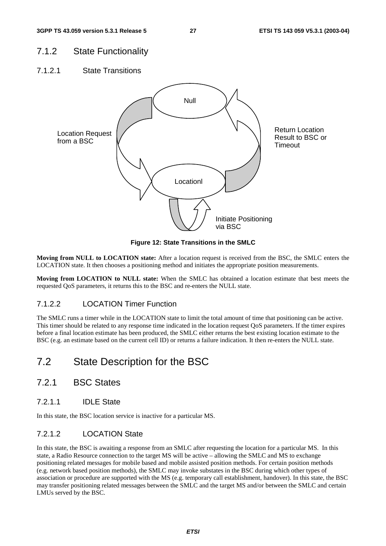### 7.1.2 State Functionality

7.1.2.1 State Transitions



**Figure 12: State Transitions in the SMLC** 

**Moving from NULL to LOCATION state:** After a location request is received from the BSC, the SMLC enters the LOCATION state. It then chooses a positioning method and initiates the appropriate position measurements.

**Moving from LOCATION to NULL state:** When the SMLC has obtained a location estimate that best meets the requested QoS parameters, it returns this to the BSC and re-enters the NULL state.

#### 7.1.2.2 LOCATION Timer Function

The SMLC runs a timer while in the LOCATION state to limit the total amount of time that positioning can be active. This timer should be related to any response time indicated in the location request QoS parameters. If the timer expires before a final location estimate has been produced, the SMLC either returns the best existing location estimate to the BSC (e.g. an estimate based on the current cell ID) or returns a failure indication. It then re-enters the NULL state.

## 7.2 State Description for the BSC

### 7.2.1 BSC States

7.2.1.1 IDLE State

In this state, the BSC location service is inactive for a particular MS.

#### 7.2.1.2 LOCATION State

In this state, the BSC is awaiting a response from an SMLC after requesting the location for a particular MS. In this state, a Radio Resource connection to the target MS will be active – allowing the SMLC and MS to exchange positioning related messages for mobile based and mobile assisted position methods. For certain position methods (e.g. network based position methods), the SMLC may invoke substates in the BSC during which other types of association or procedure are supported with the MS (e.g. temporary call establishment, handover). In this state, the BSC may transfer positioning related messages between the SMLC and the target MS and/or between the SMLC and certain LMUs served by the BSC.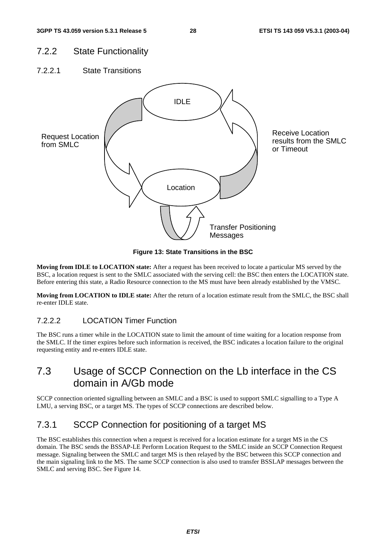### 7.2.2 State Functionality

7.2.2.1 State Transitions



**Figure 13: State Transitions in the BSC** 

**Moving from IDLE to LOCATION state:** After a request has been received to locate a particular MS served by the BSC, a location request is sent to the SMLC associated with the serving cell: the BSC then enters the LOCATION state. Before entering this state, a Radio Resource connection to the MS must have been already established by the VMSC.

**Moving from LOCATION to IDLE state:** After the return of a location estimate result from the SMLC, the BSC shall re-enter IDLE state.

### 7.2.2.2 LOCATION Timer Function

The BSC runs a timer while in the LOCATION state to limit the amount of time waiting for a location response from the SMLC. If the timer expires before such information is received, the BSC indicates a location failure to the original requesting entity and re-enters IDLE state.

## 7.3 Usage of SCCP Connection on the Lb interface in the CS domain in A/Gb mode

SCCP connection oriented signalling between an SMLC and a BSC is used to support SMLC signalling to a Type A LMU, a serving BSC, or a target MS. The types of SCCP connections are described below.

### 7.3.1 SCCP Connection for positioning of a target MS

The BSC establishes this connection when a request is received for a location estimate for a target MS in the CS domain. The BSC sends the BSSAP-LE Perform Location Request to the SMLC inside an SCCP Connection Request message. Signaling between the SMLC and target MS is then relayed by the BSC between this SCCP connection and the main signaling link to the MS. The same SCCP connection is also used to transfer BSSLAP messages between the SMLC and serving BSC. See Figure 14.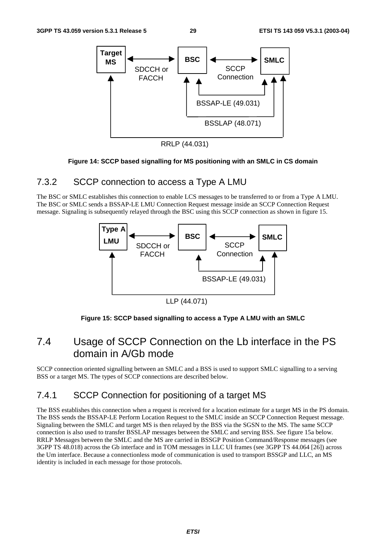

RRLP (44.031)

#### **Figure 14: SCCP based signalling for MS positioning with an SMLC in CS domain**

### 7.3.2 SCCP connection to access a Type A LMU

The BSC or SMLC establishes this connection to enable LCS messages to be transferred to or from a Type A LMU. The BSC or SMLC sends a BSSAP-LE LMU Connection Request message inside an SCCP Connection Request message. Signaling is subsequently relayed through the BSC using this SCCP connection as shown in figure 15.



LLP (44.071)



## 7.4 Usage of SCCP Connection on the Lb interface in the PS domain in A/Gb mode

SCCP connection oriented signalling between an SMLC and a BSS is used to support SMLC signalling to a serving BSS or a target MS. The types of SCCP connections are described below.

### 7.4.1 SCCP Connection for positioning of a target MS

The BSS establishes this connection when a request is received for a location estimate for a target MS in the PS domain. The BSS sends the BSSAP-LE Perform Location Request to the SMLC inside an SCCP Connection Request message. Signaling between the SMLC and target MS is then relayed by the BSS via the SGSN to the MS. The same SCCP connection is also used to transfer BSSLAP messages between the SMLC and serving BSS. See figure 15a below. RRLP Messages between the SMLC and the MS are carried in BSSGP Position Command/Response messages (see 3GPP TS 48.018) across the Gb interface and in TOM messages in LLC UI frames (see 3GPP TS 44.064 [26]) across the Um interface. Because a connectionless mode of communication is used to transport BSSGP and LLC, an MS identity is included in each message for those protocols.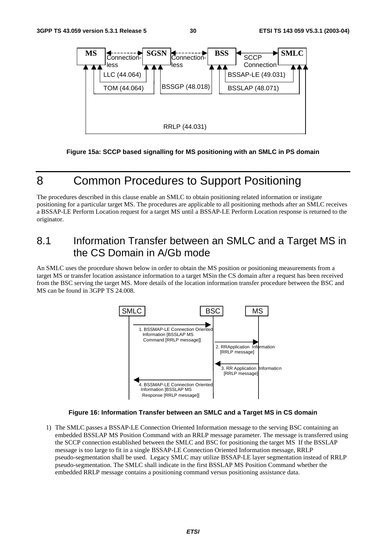

**Figure 15a: SCCP based signalling for MS positioning with an SMLC in PS domain** 

## 8 Common Procedures to Support Positioning

The procedures described in this clause enable an SMLC to obtain positioning related information or instigate positioning for a particular target MS. The procedures are applicable to all positioning methods after an SMLC receives a BSSAP-LE Perform Location request for a target MS until a BSSAP-LE Perform Location response is returned to the originator.

## 8.1 Information Transfer between an SMLC and a Target MS in the CS Domain in A/Gb mode

An SMLC uses the procedure shown below in order to obtain the MS position or positioning measurements from a target MS or transfer location assistance information to a target MSin the CS domain after a request has been received from the BSC serving the target MS. More details of the location information transfer procedure between the BSC and MS can be found in 3GPP TS 24.008.



#### **Figure 16: Information Transfer between an SMLC and a Target MS in CS domain**

1) The SMLC passes a BSSAP-LE Connection Oriented Information message to the serving BSC containing an embedded BSSLAP MS Position Command with an RRLP message parameter. The message is transferred using the SCCP connection established between the SMLC and BSC for positioning the target MS If the BSSLAP message is too large to fit in a single BSSAP-LE Connection Oriented Information message, RRLP pseudo-segmentation shall be used. Legacy SMLC may utilize BSSAP-LE layer segmentation instead of RRLP pseudo-segmentation. The SMLC shall indicate in the first BSSLAP MS Position Command whether the embedded RRLP message contains a positioning command versus positioning assistance data.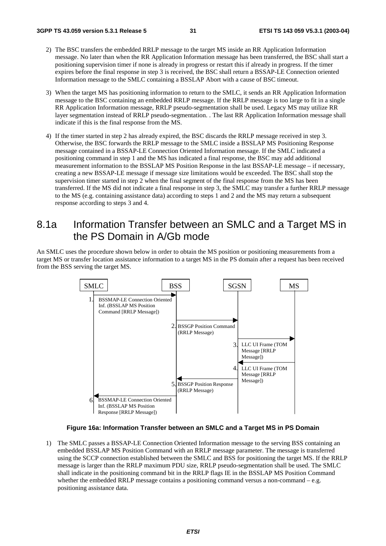- 2) The BSC transfers the embedded RRLP message to the target MS inside an RR Application Information message. No later than when the RR Application Information message has been transferred, the BSC shall start a positioning supervision timer if none is already in progress or restart this if already in progress. If the timer expires before the final response in step 3 is received, the BSC shall return a BSSAP-LE Connection oriented Information message to the SMLC containing a BSSLAP Abort with a cause of BSC timeout.
- 3) When the target MS has positioning information to return to the SMLC, it sends an RR Application Information message to the BSC containing an embedded RRLP message. If the RRLP message is too large to fit in a single RR Application Information message, RRLP pseudo-segmentation shall be used. Legacy MS may utilize RR layer segmentation instead of RRLP pseudo-segmentation. . The last RR Application Information message shall indicate if this is the final response from the MS.
- 4) If the timer started in step 2 has already expired, the BSC discards the RRLP message received in step 3. Otherwise, the BSC forwards the RRLP message to the SMLC inside a BSSLAP MS Positioning Response message contained in a BSSAP-LE Connection Oriented Information message. If the SMLC indicated a positioning command in step 1 and the MS has indicated a final response, the BSC may add additional measurement information to the BSSLAP MS Position Response in the last BSSAP-LE message – if necessary, creating a new BSSAP-LE message if message size limitations would be exceeded. The BSC shall stop the supervision timer started in step 2 when the final segment of the final response from the MS has been transferred. If the MS did not indicate a final response in step 3, the SMLC may transfer a further RRLP message to the MS (e.g. containing assistance data) according to steps 1 and 2 and the MS may return a subsequent response according to steps 3 and 4.

## 8.1a Information Transfer between an SMLC and a Target MS in the PS Domain in A/Gb mode

An SMLC uses the procedure shown below in order to obtain the MS position or positioning measurements from a target MS or transfer location assistance information to a target MS in the PS domain after a request has been received from the BSS serving the target MS.



#### **Figure 16a: Information Transfer between an SMLC and a Target MS in PS Domain**

1) The SMLC passes a BSSAP-LE Connection Oriented Information message to the serving BSS containing an embedded BSSLAP MS Position Command with an RRLP message parameter. The message is transferred using the SCCP connection established between the SMLC and BSS for positioning the target MS. If the RRLP message is larger than the RRLP maximum PDU size, RRLP pseudo-segmentation shall be used. The SMLC shall indicate in the positioning command bit in the RRLP flags IE in the BSSLAP MS Position Command whether the embedded RRLP message contains a positioning command versus a non-command  $-e.g.$ positioning assistance data.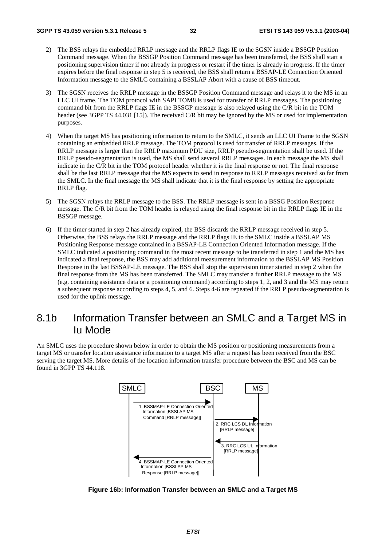- 2) The BSS relays the embedded RRLP message and the RRLP flags IE to the SGSN inside a BSSGP Position Command message. When the BSSGP Position Command message has been transferred, the BSS shall start a positioning supervision timer if not already in progress or restart if the timer is already in progress. If the timer expires before the final response in step 5 is received, the BSS shall return a BSSAP-LE Connection Oriented Information message to the SMLC containing a BSSLAP Abort with a cause of BSS timeout.
- 3) The SGSN receives the RRLP message in the BSSGP Position Command message and relays it to the MS in an LLC UI frame. The TOM protocol with SAPI TOM8 is used for transfer of RRLP messages. The positioning command bit from the RRLP flags IE in the BSSGP message is also relayed using the C/R bit in the TOM header (see 3GPP TS 44.031 [15]). The received C/R bit may be ignored by the MS or used for implementation purposes.
- 4) When the target MS has positioning information to return to the SMLC, it sends an LLC UI Frame to the SGSN containing an embedded RRLP message. The TOM protocol is used for transfer of RRLP messages. If the RRLP message is larger than the RRLP maximum PDU size, RRLP pseudo-segmentation shall be used. If the RRLP pseudo-segmentation is used, the MS shall send several RRLP messages. In each message the MS shall indicate in the C/R bit in the TOM protocol header whether it is the final response or not. The final response shall be the last RRLP message that the MS expects to send in response to RRLP messages received so far from the SMLC. In the final message the MS shall indicate that it is the final response by setting the appropriate RRLP flag.
- 5) The SGSN relays the RRLP message to the BSS. The RRLP message is sent in a BSSG Position Response message. The C/R bit from the TOM header is relayed using the final response bit in the RRLP flags IE in the BSSGP message.
- 6) If the timer started in step 2 has already expired, the BSS discards the RRLP message received in step 5. Otherwise, the BSS relays the RRLP message and the RRLP flags IE to the SMLC inside a BSSLAP MS Positioning Response message contained in a BSSAP-LE Connection Oriented Information message. If the SMLC indicated a positioning command in the most recent message to be transferred in step 1 and the MS has indicated a final response, the BSS may add additional measurement information to the BSSLAP MS Position Response in the last BSSAP-LE message. The BSS shall stop the supervision timer started in step 2 when the final response from the MS has been transferred. The SMLC may transfer a further RRLP message to the MS (e.g. containing assistance data or a positioning command) according to steps 1, 2, and 3 and the MS may return a subsequent response according to steps 4, 5, and 6. Steps 4-6 are repeated if the RRLP pseudo-segmentation is used for the uplink message.

## 8.1b Information Transfer between an SMLC and a Target MS in Iu Mode

An SMLC uses the procedure shown below in order to obtain the MS position or positioning measurements from a target MS or transfer location assistance information to a target MS after a request has been received from the BSC serving the target MS. More details of the location information transfer procedure between the BSC and MS can be found in 3GPP TS 44.118.



**Figure 16b: Information Transfer between an SMLC and a Target MS**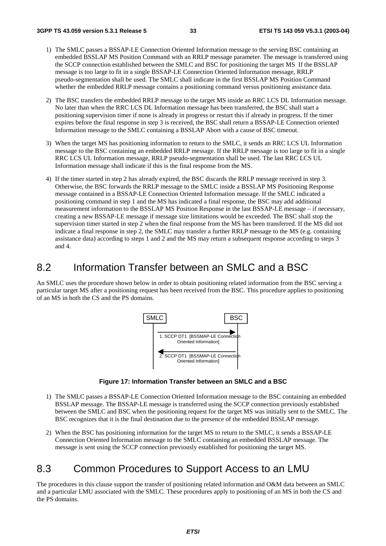- 1) The SMLC passes a BSSAP-LE Connection Oriented Information message to the serving BSC containing an embedded BSSLAP MS Position Command with an RRLP message parameter. The message is transferred using the SCCP connection established between the SMLC and BSC for positioning the target MS If the BSSLAP message is too large to fit in a single BSSAP-LE Connection Oriented Information message, RRLP pseudo-segmentation shall be used. The SMLC shall indicate in the first BSSLAP MS Position Command whether the embedded RRLP message contains a positioning command versus positioning assistance data.
- 2) The BSC transfers the embedded RRLP message to the target MS inside an RRC LCS DL Information message. No later than when the RRC LCS DL Information message has been transferred, the BSC shall start a positioning supervision timer if none is already in progress or restart this if already in progress. If the timer expires before the final response in step 3 is received, the BSC shall return a BSSAP-LE Connection oriented Information message to the SMLC containing a BSSLAP Abort with a cause of BSC timeout.
- 3) When the target MS has positioning information to return to the SMLC, it sends an RRC LCS UL Information message to the BSC containing an embedded RRLP message. If the RRLP message is too large to fit in a single RRC LCS UL Information message, RRLP pseudo-segmentation shall be used. The last RRC LCS UL Information message shall indicate if this is the final response from the MS.
- 4) If the timer started in step 2 has already expired, the BSC discards the RRLP message received in step 3. Otherwise, the BSC forwards the RRLP message to the SMLC inside a BSSLAP MS Positioning Response message contained in a BSSAP-LE Connection Oriented Information message. If the SMLC indicated a positioning command in step 1 and the MS has indicated a final response, the BSC may add additional measurement information to the BSSLAP MS Position Response in the last BSSAP-LE message – if necessary, creating a new BSSAP-LE message if message size limitations would be exceeded. The BSC shall stop the supervision timer started in step 2 when the final response from the MS has been transferred. If the MS did not indicate a final response in step 2, the SMLC may transfer a further RRLP message to the MS (e.g. containing assistance data) according to steps 1 and 2 and the MS may return a subsequent response according to steps 3 and 4.

### 8.2 Information Transfer between an SMLC and a BSC

An SMLC uses the procedure shown below in order to obtain positioning related information from the BSC serving a particular target MS after a positioning request has been received from the BSC. This procedure applies to positioning of an MS in both the CS and the PS domains.



**Figure 17: Information Transfer between an SMLC and a BSC** 

- 1) The SMLC passes a BSSAP-LE Connection Oriented Information message to the BSC containing an embedded BSSLAP message. The BSSAP-LE message is transferred using the SCCP connection previously established between the SMLC and BSC when the positioning request for the target MS was initially sent to the SMLC. The BSC recognizes that it is the final destination due to the presence of the embedded BSSLAP message.
- 2) When the BSC has positioning information for the target MS to return to the SMLC, it sends a BSSAP-LE Connection Oriented Information message to the SMLC containing an embedded BSSLAP message. The message is sent using the SCCP connection previously established for positioning the target MS.

## 8.3 Common Procedures to Support Access to an LMU

The procedures in this clause support the transfer of positioning related information and O&M data between an SMLC and a particular LMU associated with the SMLC. These procedures apply to positioning of an MS in both the CS and the PS domains.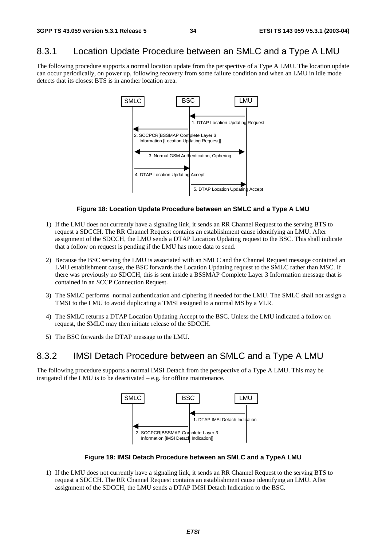### 8.3.1 Location Update Procedure between an SMLC and a Type A LMU

The following procedure supports a normal location update from the perspective of a Type A LMU. The location update can occur periodically, on power up, following recovery from some failure condition and when an LMU in idle mode detects that its closest BTS is in another location area.



#### **Figure 18: Location Update Procedure between an SMLC and a Type A LMU**

- 1) If the LMU does not currently have a signaling link, it sends an RR Channel Request to the serving BTS to request a SDCCH. The RR Channel Request contains an establishment cause identifying an LMU. After assignment of the SDCCH, the LMU sends a DTAP Location Updating request to the BSC. This shall indicate that a follow on request is pending if the LMU has more data to send.
- 2) Because the BSC serving the LMU is associated with an SMLC and the Channel Request message contained an LMU establishment cause, the BSC forwards the Location Updating request to the SMLC rather than MSC. If there was previously no SDCCH, this is sent inside a BSSMAP Complete Layer 3 Information message that is contained in an SCCP Connection Request.
- 3) The SMLC performs normal authentication and ciphering if needed for the LMU. The SMLC shall not assign a TMSI to the LMU to avoid duplicating a TMSI assigned to a normal MS by a VLR.
- 4) The SMLC returns a DTAP Location Updating Accept to the BSC. Unless the LMU indicated a follow on request, the SMLC may then initiate release of the SDCCH.
- 5) The BSC forwards the DTAP message to the LMU.

### 8.3.2 IMSI Detach Procedure between an SMLC and a Type A LMU

The following procedure supports a normal IMSI Detach from the perspective of a Type A LMU. This may be instigated if the LMU is to be deactivated – e.g. for offline maintenance.



**Figure 19: IMSI Detach Procedure between an SMLC and a TypeA LMU** 

1) If the LMU does not currently have a signaling link, it sends an RR Channel Request to the serving BTS to request a SDCCH. The RR Channel Request contains an establishment cause identifying an LMU. After assignment of the SDCCH, the LMU sends a DTAP IMSI Detach Indication to the BSC.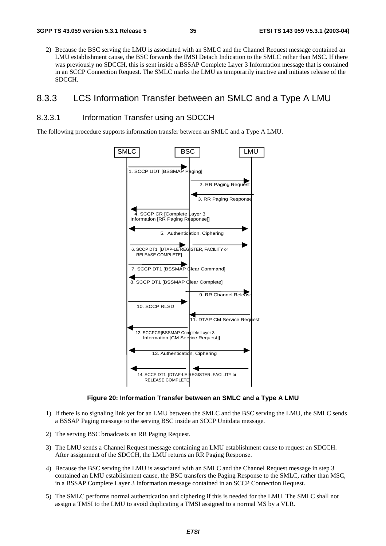2) Because the BSC serving the LMU is associated with an SMLC and the Channel Request message contained an LMU establishment cause, the BSC forwards the IMSI Detach Indication to the SMLC rather than MSC. If there was previously no SDCCH, this is sent inside a BSSAP Complete Layer 3 Information message that is contained in an SCCP Connection Request. The SMLC marks the LMU as temporarily inactive and initiates release of the SDCCH.

### 8.3.3 LCS Information Transfer between an SMLC and a Type A LMU

#### 8.3.3.1 Information Transfer using an SDCCH

The following procedure supports information transfer between an SMLC and a Type A LMU.



#### **Figure 20: Information Transfer between an SMLC and a Type A LMU**

- 1) If there is no signaling link yet for an LMU between the SMLC and the BSC serving the LMU, the SMLC sends a BSSAP Paging message to the serving BSC inside an SCCP Unitdata message.
- 2) The serving BSC broadcasts an RR Paging Request.
- 3) The LMU sends a Channel Request message containing an LMU establishment cause to request an SDCCH. After assignment of the SDCCH, the LMU returns an RR Paging Response.
- 4) Because the BSC serving the LMU is associated with an SMLC and the Channel Request message in step 3 contained an LMU establishment cause, the BSC transfers the Paging Response to the SMLC, rather than MSC, in a BSSAP Complete Layer 3 Information message contained in an SCCP Connection Request.
- 5) The SMLC performs normal authentication and ciphering if this is needed for the LMU. The SMLC shall not assign a TMSI to the LMU to avoid duplicating a TMSI assigned to a normal MS by a VLR.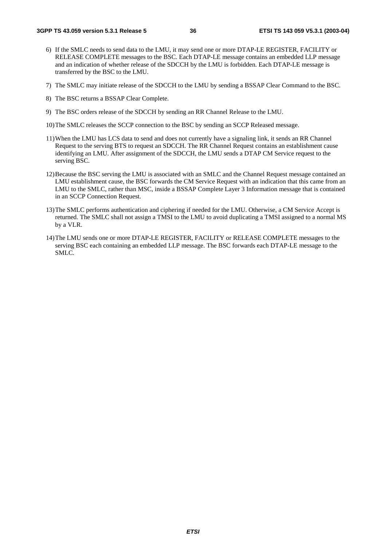- 6) If the SMLC needs to send data to the LMU, it may send one or more DTAP-LE REGISTER, FACILITY or RELEASE COMPLETE messages to the BSC. Each DTAP-LE message contains an embedded LLP message and an indication of whether release of the SDCCH by the LMU is forbidden. Each DTAP-LE message is transferred by the BSC to the LMU.
- 7) The SMLC may initiate release of the SDCCH to the LMU by sending a BSSAP Clear Command to the BSC.
- 8) The BSC returns a BSSAP Clear Complete.
- 9) The BSC orders release of the SDCCH by sending an RR Channel Release to the LMU.
- 10) The SMLC releases the SCCP connection to the BSC by sending an SCCP Released message.
- 11) When the LMU has LCS data to send and does not currently have a signaling link, it sends an RR Channel Request to the serving BTS to request an SDCCH. The RR Channel Request contains an establishment cause identifying an LMU. After assignment of the SDCCH, the LMU sends a DTAP CM Service request to the serving BSC.
- 12) Because the BSC serving the LMU is associated with an SMLC and the Channel Request message contained an LMU establishment cause, the BSC forwards the CM Service Request with an indication that this came from an LMU to the SMLC, rather than MSC, inside a BSSAP Complete Layer 3 Information message that is contained in an SCCP Connection Request.
- 13) The SMLC performs authentication and ciphering if needed for the LMU. Otherwise, a CM Service Accept is returned. The SMLC shall not assign a TMSI to the LMU to avoid duplicating a TMSI assigned to a normal MS by a VLR.
- 14) The LMU sends one or more DTAP-LE REGISTER, FACILITY or RELEASE COMPLETE messages to the serving BSC each containing an embedded LLP message. The BSC forwards each DTAP-LE message to the SMLC.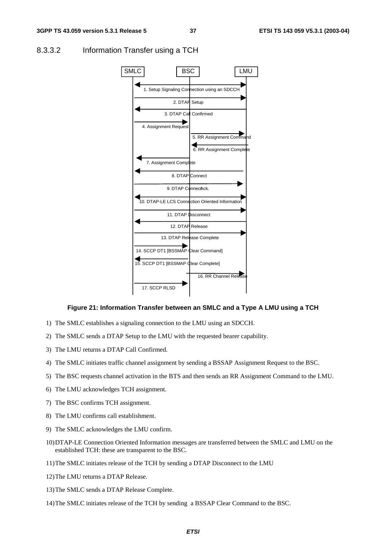

#### 8.3.3.2 Information Transfer using a TCH

#### **Figure 21: Information Transfer between an SMLC and a Type A LMU using a TCH**

- 1) The SMLC establishes a signaling connection to the LMU using an SDCCH.
- 2) The SMLC sends a DTAP Setup to the LMU with the requested bearer capability.
- 3) The LMU returns a DTAP Call Confirmed.
- 4) The SMLC initiates traffic channel assignment by sending a BSSAP Assignment Request to the BSC.
- 5) The BSC requests channel activation in the BTS and then sends an RR Assignment Command to the LMU.
- 6) The LMU acknowledges TCH assignment.
- 7) The BSC confirms TCH assignment.
- 8) The LMU confirms call establishment.
- 9) The SMLC acknowledges the LMU confirm.
- 10) DTAP-LE Connection Oriented Information messages are transferred between the SMLC and LMU on the established TCH: these are transparent to the BSC.
- 11) The SMLC initiates release of the TCH by sending a DTAP Disconnect to the LMU
- 12) The LMU returns a DTAP Release.
- 13) The SMLC sends a DTAP Release Complete.
- 14) The SMLC initiates release of the TCH by sending a BSSAP Clear Command to the BSC.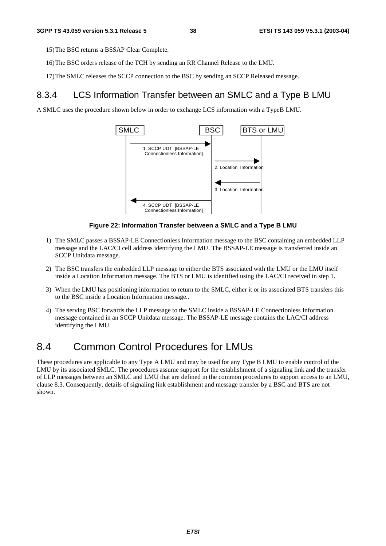15) The BSC returns a BSSAP Clear Complete.

- 16) The BSC orders release of the TCH by sending an RR Channel Release to the LMU.
- 17) The SMLC releases the SCCP connection to the BSC by sending an SCCP Released message.

### 8.3.4 LCS Information Transfer between an SMLC and a Type B LMU

A SMLC uses the procedure shown below in order to exchange LCS information with a TypeB LMU.



#### **Figure 22: Information Transfer between a SMLC and a Type B LMU**

- 1) The SMLC passes a BSSAP-LE Connectionless Information message to the BSC containing an embedded LLP message and the LAC/CI cell address identifying the LMU. The BSSAP-LE message is transferred inside an SCCP Unitdata message.
- 2) The BSC transfers the embedded LLP message to either the BTS associated with the LMU or the LMU itself inside a Location Information message. The BTS or LMU is identified using the LAC/CI received in step 1.
- 3) When the LMU has positioning information to return to the SMLC, either it or its associated BTS transfers this to the BSC inside a Location Information message..
- 4) The serving BSC forwards the LLP message to the SMLC inside a BSSAP-LE Connectionless Information message contained in an SCCP Unitdata message. The BSSAP-LE message contains the LAC/CI address identifying the LMU.

## 8.4 Common Control Procedures for LMUs

These procedures are applicable to any Type A LMU and may be used for any Type B LMU to enable control of the LMU by its associated SMLC. The procedures assume support for the establishment of a signaling link and the transfer of LLP messages between an SMLC and LMU that are defined in the common procedures to support access to an LMU, clause 8.3. Consequently, details of signaling link establishment and message transfer by a BSC and BTS are not shown.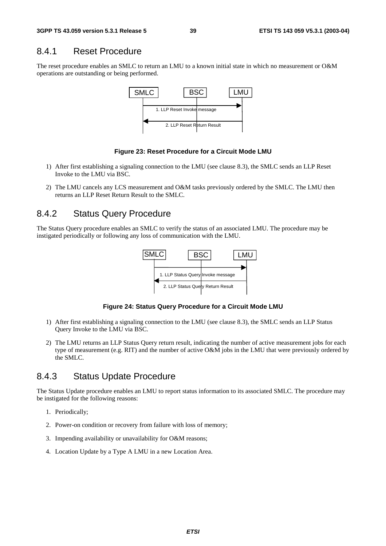### 8.4.1 Reset Procedure

The reset procedure enables an SMLC to return an LMU to a known initial state in which no measurement or O&M operations are outstanding or being performed.



#### **Figure 23: Reset Procedure for a Circuit Mode LMU**

- 1) After first establishing a signaling connection to the LMU (see clause 8.3), the SMLC sends an LLP Reset Invoke to the LMU via BSC.
- 2) The LMU cancels any LCS measurement and O&M tasks previously ordered by the SMLC. The LMU then returns an LLP Reset Return Result to the SMLC.

### 8.4.2 Status Query Procedure

The Status Query procedure enables an SMLC to verify the status of an associated LMU. The procedure may be instigated periodically or following any loss of communication with the LMU.



**Figure 24: Status Query Procedure for a Circuit Mode LMU** 

- 1) After first establishing a signaling connection to the LMU (see clause 8.3), the SMLC sends an LLP Status Query Invoke to the LMU via BSC.
- 2) The LMU returns an LLP Status Query return result, indicating the number of active measurement jobs for each type of measurement (e.g. RIT) and the number of active O&M jobs in the LMU that were previously ordered by the SMLC.

### 8.4.3 Status Update Procedure

The Status Update procedure enables an LMU to report status information to its associated SMLC. The procedure may be instigated for the following reasons:

- 1. Periodically;
- 2. Power-on condition or recovery from failure with loss of memory;
- 3. Impending availability or unavailability for O&M reasons;
- 4. Location Update by a Type A LMU in a new Location Area.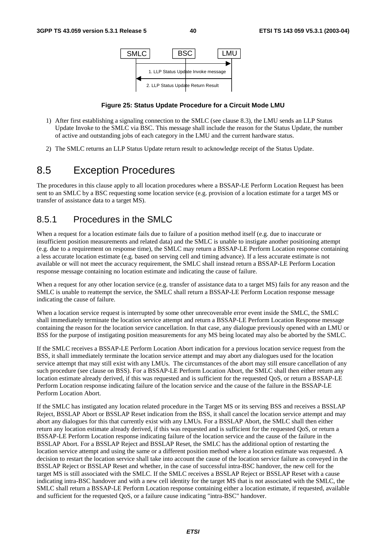

#### **Figure 25: Status Update Procedure for a Circuit Mode LMU**

- 1) After first establishing a signaling connection to the SMLC (see clause 8.3), the LMU sends an LLP Status Update Invoke to the SMLC via BSC. This message shall include the reason for the Status Update, the number of active and outstanding jobs of each category in the LMU and the current hardware status.
- 2) The SMLC returns an LLP Status Update return result to acknowledge receipt of the Status Update.

## 8.5 Exception Procedures

The procedures in this clause apply to all location procedures where a BSSAP-LE Perform Location Request has been sent to an SMLC by a BSC requesting some location service (e.g. provision of a location estimate for a target MS or transfer of assistance data to a target MS).

### 8.5.1 Procedures in the SMLC

When a request for a location estimate fails due to failure of a position method itself (e.g. due to inaccurate or insufficient position measurements and related data) and the SMLC is unable to instigate another positioning attempt (e.g. due to a requirement on response time), the SMLC may return a BSSAP-LE Perform Location response containing a less accurate location estimate (e.g. based on serving cell and timing advance). If a less accurate estimate is not available or will not meet the accuracy requirement, the SMLC shall instead return a BSSAP-LE Perform Location response message containing no location estimate and indicating the cause of failure.

When a request for any other location service (e.g. transfer of assistance data to a target MS) fails for any reason and the SMLC is unable to reattempt the service, the SMLC shall return a BSSAP-LE Perform Location response message indicating the cause of failure.

When a location service request is interrupted by some other unrecoverable error event inside the SMLC, the SMLC shall immediately terminate the location service attempt and return a BSSAP-LE Perform Location Response message containing the reason for the location service cancellation. In that case, any dialogue previously opened with an LMU or BSS for the purpose of instigating position measurements for any MS being located may also be aborted by the SMLC.

If the SMLC receives a BSSAP-LE Perform Location Abort indication for a previous location service request from the BSS, it shall immediately terminate the location service attempt and may abort any dialogues used for the location service attempt that may still exist with any LMUs. The circumstances of the abort may still ensure cancellation of any such procedure (see clause on BSS). For a BSSAP-LE Perform Location Abort, the SMLC shall then either return any location estimate already derived, if this was requested and is sufficient for the requested QoS, or return a BSSAP-LE Perform Location response indicating failure of the location service and the cause of the failure in the BSSAP-LE Perform Location Abort.

If the SMLC has instigated any location related procedure in the Target MS or its serving BSS and receives a BSSLAP Reject, BSSLAP Abort or BSSLAP Reset indication from the BSS, it shall cancel the location service attempt and may abort any dialogues for this that currently exist with any LMUs. For a BSSLAP Abort, the SMLC shall then either return any location estimate already derived, if this was requested and is sufficient for the requested QoS, or return a BSSAP-LE Perform Location response indicating failure of the location service and the cause of the failure in the BSSLAP Abort. For a BSSLAP Reject and BSSLAP Reset, the SMLC has the additional option of restarting the location service attempt and using the same or a different position method where a location estimate was requested. A decision to restart the location service shall take into account the cause of the location service failure as conveyed in the BSSLAP Reject or BSSLAP Reset and whether, in the case of successful intra-BSC handover, the new cell for the target MS is still associated with the SMLC. If the SMLC receives a BSSLAP Reject or BSSLAP Reset with a cause indicating intra-BSC handover and with a new cell identity for the target MS that is not associated with the SMLC, the SMLC shall return a BSSAP-LE Perform Location response containing either a location estimate, if requested, available and sufficient for the requested QoS, or a failure cause indicating "intra-BSC" handover.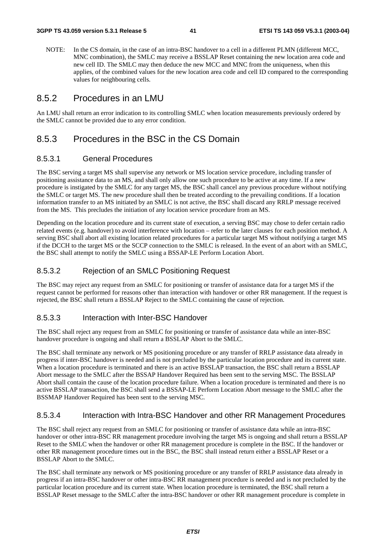NOTE: In the CS domain, in the case of an intra-BSC handover to a cell in a different PLMN (different MCC, MNC combination), the SMLC may receive a BSSLAP Reset containing the new location area code and new cell ID. The SMLC may then deduce the new MCC and MNC from the uniqueness, when this applies, of the combined values for the new location area code and cell ID compared to the corresponding values for neighbouring cells.

### 8.5.2 Procedures in an LMU

An LMU shall return an error indication to its controlling SMLC when location measurements previously ordered by the SMLC cannot be provided due to any error condition.

### 8.5.3 Procedures in the BSC in the CS Domain

#### 8.5.3.1 General Procedures

The BSC serving a target MS shall supervise any network or MS location service procedure, including transfer of positioning assistance data to an MS, and shall only allow one such procedure to be active at any time. If a new procedure is instigated by the SMLC for any target MS, the BSC shall cancel any previous procedure without notifying the SMLC or target MS. The new procedure shall then be treated according to the prevailing conditions. If a location information transfer to an MS initiated by an SMLC is not active, the BSC shall discard any RRLP message received from the MS. This precludes the initiation of any location service procedure from an MS.

Depending on the location procedure and its current state of execution, a serving BSC may chose to defer certain radio related events (e.g. handover) to avoid interference with location – refer to the later clauses for each position method. A serving BSC shall abort all existing location related procedures for a particular target MS without notifying a target MS if the DCCH to the target MS or the SCCP connection to the SMLC is released. In the event of an abort with an SMLC, the BSC shall attempt to notify the SMLC using a BSSAP-LE Perform Location Abort.

#### 8.5.3.2 Rejection of an SMLC Positioning Request

The BSC may reject any request from an SMLC for positioning or transfer of assistance data for a target MS if the request cannot be performed for reasons other than interaction with handover or other RR management. If the request is rejected, the BSC shall return a BSSLAP Reject to the SMLC containing the cause of rejection.

#### 8.5.3.3 Interaction with Inter-BSC Handover

The BSC shall reject any request from an SMLC for positioning or transfer of assistance data while an inter-BSC handover procedure is ongoing and shall return a BSSLAP Abort to the SMLC.

The BSC shall terminate any network or MS positioning procedure or any transfer of RRLP assistance data already in progress if inter-BSC handover is needed and is not precluded by the particular location procedure and its current state. When a location procedure is terminated and there is an active BSSLAP transaction, the BSC shall return a BSSLAP Abort message to the SMLC after the BSSAP Handover Required has been sent to the serving MSC. The BSSLAP Abort shall contain the cause of the location procedure failure. When a location procedure is terminated and there is no active BSSLAP transaction, the BSC shall send a BSSAP-LE Perform Location Abort message to the SMLC after the BSSMAP Handover Required has been sent to the serving MSC.

#### 8.5.3.4 Interaction with Intra-BSC Handover and other RR Management Procedures

The BSC shall reject any request from an SMLC for positioning or transfer of assistance data while an intra-BSC handover or other intra-BSC RR management procedure involving the target MS is ongoing and shall return a BSSLAP Reset to the SMLC when the handover or other RR management procedure is complete in the BSC. If the handover or other RR management procedure times out in the BSC, the BSC shall instead return either a BSSLAP Reset or a BSSLAP Abort to the SMLC.

The BSC shall terminate any network or MS positioning procedure or any transfer of RRLP assistance data already in progress if an intra-BSC handover or other intra-BSC RR management procedure is needed and is not precluded by the particular location procedure and its current state. When location procedure is terminated, the BSC shall return a BSSLAP Reset message to the SMLC after the intra-BSC handover or other RR management procedure is complete in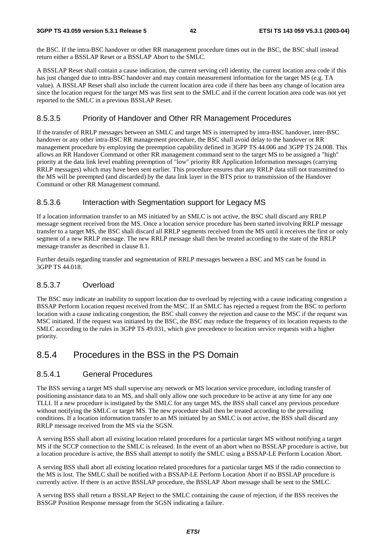the BSC. If the intra-BSC handover or other RR management procedure times out in the BSC, the BSC shall instead return either a BSSLAP Reset or a BSSLAP Abort to the SMLC.

A BSSLAP Reset shall contain a cause indication, the current serving cell identity, the current location area code if this has just changed due to intra-BSC handover and may contain measurement information for the target MS (e.g. TA value). A BSSLAP Reset shall also include the current location area code if there has been any change of location area since the location request for the target MS was first sent to the SMLC and if the current location area code was not yet reported to the SMLC in a previous BSSLAP Reset.

### 8.5.3.5 Priority of Handover and Other RR Management Procedures

If the transfer of RRLP messages between an SMLC and target MS is interrupted by intra-BSC handover, inter-BSC handover or any other intra-BSC RR management procedure, the BSC shall avoid delay to the handover or RR management procedure by employing the preemption capability defined in 3GPP TS 44.006 and 3GPP TS 24.008. This allows an RR Handover Command or other RR management command sent to the target MS to be assigned a "high" priority at the data link level enabling preemption of "low" priority RR Application Information messages (carrying RRLP messages) which may have been sent earlier. This procedure ensures that any RRLP data still not transmitted to the MS will be preempted (and discarded) by the data link layer in the BTS prior to transmission of the Handover Command or other RR Management command.

### 8.5.3.6 Interaction with Segmentation support for Legacy MS

If a location information transfer to an MS initiated by an SMLC is not active, the BSC shall discard any RRLP message segment received from the MS. Once a location service procedure has been started involving RRLP message transfer to a target MS, the BSC shall discard all RRLP segments received from the MS until it receives the first or only segment of a new RRLP message. The new RRLP message shall then be treated according to the state of the RRLP message transfer as described in clause 8.1.

Further details regarding transfer and segmentation of RRLP messages between a BSC and MS can be found in 3GPP TS 44.018.

### 8.5.3.7 Overload

The BSC may indicate an inability to support location due to overload by rejecting with a cause indicating congestion a BSSAP Perform Location request received from the MSC. If an SMLC has rejected a request from the BSC to perform location with a cause indicating congestion, the BSC shall convey the rejection and cause to the MSC if the request was MSC initiated. If the request was initiated by the BSC, the BSC may reduce the frequency of its location requests to the SMLC according to the rules in 3GPP TS 49.031, which give precedence to location service requests with a higher priority.

### 8.5.4 Procedures in the BSS in the PS Domain

#### 8.5.4.1 General Procedures

The BSS serving a target MS shall supervise any network or MS location service procedure, including transfer of positioning assistance data to an MS, and shall only allow one such procedure to be active at any time for any one TLLI. If a new procedure is instigated by the SMLC for any target MS, the BSS shall cancel any previous procedure without notifying the SMLC or target MS. The new procedure shall then be treated according to the prevailing conditions. If a location information transfer to an MS initiated by an SMLC is not active, the BSS shall discard any RRLP message received from the MS via the SGSN.

A serving BSS shall abort all existing location related procedures for a particular target MS without notifying a target MS if the SCCP connection to the SMLC is released. In the event of an abort when no BSSLAP procedure is active, but a location procedure is active, the BSS shall attempt to notify the SMLC using a BSSAP-LE Perform Location Abort.

A serving BSS shall abort all existing location related procedures for a particular target MS if the radio connection to the MS is lost. The SMLC shall be notified with a BSSAP-LE Perform Location Abort if no BSSLAP procedure is currently active. If there is an active BSSLAP procedure, the BSSLAP Abort message shall be sent to the SMLC.

A serving BSS shall return a BSSLAP Reject to the SMLC containing the cause of rejection, if the BSS receives the BSSGP Position Response message from the SGSN indicating a failure.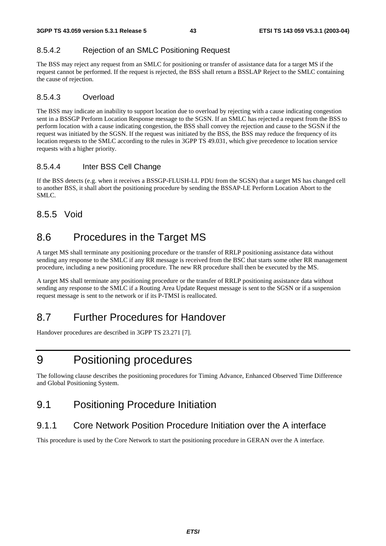### 8.5.4.2 Rejection of an SMLC Positioning Request

The BSS may reject any request from an SMLC for positioning or transfer of assistance data for a target MS if the request cannot be performed. If the request is rejected, the BSS shall return a BSSLAP Reject to the SMLC containing the cause of rejection.

### 8.5.4.3 Overload

The BSS may indicate an inability to support location due to overload by rejecting with a cause indicating congestion sent in a BSSGP Perform Location Response message to the SGSN. If an SMLC has rejected a request from the BSS to perform location with a cause indicating congestion, the BSS shall convey the rejection and cause to the SGSN if the request was initiated by the SGSN. If the request was initiated by the BSS, the BSS may reduce the frequency of its location requests to the SMLC according to the rules in 3GPP TS 49.031, which give precedence to location service requests with a higher priority.

### 8.5.4.4 Inter BSS Cell Change

If the BSS detects (e.g. when it receives a BSSGP-FLUSH-LL PDU from the SGSN) that a target MS has changed cell to another BSS, it shall abort the positioning procedure by sending the BSSAP-LE Perform Location Abort to the SMLC.

### 8.5.5 Void

## 8.6 Procedures in the Target MS

A target MS shall terminate any positioning procedure or the transfer of RRLP positioning assistance data without sending any response to the SMLC if any RR message is received from the BSC that starts some other RR management procedure, including a new positioning procedure. The new RR procedure shall then be executed by the MS.

A target MS shall terminate any positioning procedure or the transfer of RRLP positioning assistance data without sending any response to the SMLC if a Routing Area Update Request message is sent to the SGSN or if a suspension request message is sent to the network or if its P-TMSI is reallocated.

## 8.7 Further Procedures for Handover

Handover procedures are described in 3GPP TS 23.271 [7].

## 9 Positioning procedures

The following clause describes the positioning procedures for Timing Advance, Enhanced Observed Time Difference and Global Positioning System.

## 9.1 Positioning Procedure Initiation

### 9.1.1 Core Network Position Procedure Initiation over the A interface

This procedure is used by the Core Network to start the positioning procedure in GERAN over the A interface.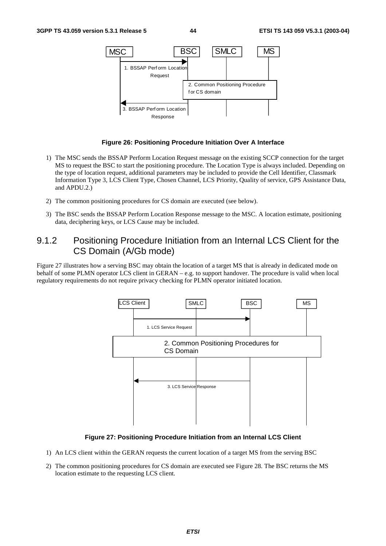

#### **Figure 26: Positioning Procedure Initiation Over A Interface**

- 1) The MSC sends the BSSAP Perform Location Request message on the existing SCCP connection for the target MS to request the BSC to start the positioning procedure. The Location Type is always included. Depending on the type of location request, additional parameters may be included to provide the Cell Identifier, Classmark Information Type 3, LCS Client Type, Chosen Channel, LCS Priority, Quality of service, GPS Assistance Data, and APDU.2.)
- 2) The common positioning procedures for CS domain are executed (see below).
- 3) The BSC sends the BSSAP Perform Location Response message to the MSC. A location estimate, positioning data, deciphering keys, or LCS Cause may be included.

### 9.1.2 Positioning Procedure Initiation from an Internal LCS Client for the CS Domain (A/Gb mode)

Figure 27 illustrates how a serving BSC may obtain the location of a target MS that is already in dedicated mode on behalf of some PLMN operator LCS client in GERAN – e.g. to support handover. The procedure is valid when local regulatory requirements do not require privacy checking for PLMN operator initiated location.



#### **Figure 27: Positioning Procedure Initiation from an Internal LCS Client**

- 1) An LCS client within the GERAN requests the current location of a target MS from the serving BSC
- 2) The common positioning procedures for CS domain are executed see Figure 28. The BSC returns the MS location estimate to the requesting LCS client.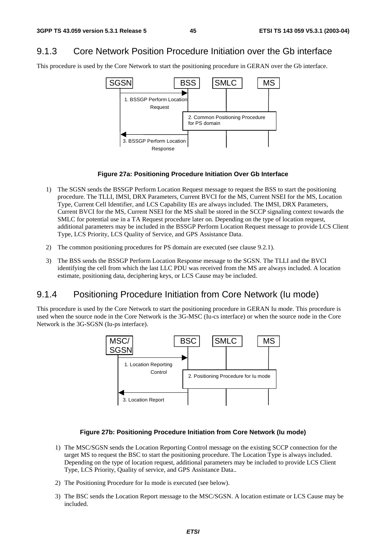## 9.1.3 Core Network Position Procedure Initiation over the Gb interface

This procedure is used by the Core Network to start the positioning procedure in GERAN over the Gb interface.



#### **Figure 27a: Positioning Procedure Initiation Over Gb Interface**

- 1) The SGSN sends the BSSGP Perform Location Request message to request the BSS to start the positioning procedure. The TLLI, IMSI, DRX Parameters, Current BVCI for the MS, Current NSEI for the MS, Location Type, Current Cell Identifier, and LCS Capability IEs are always included. The IMSI, DRX Parameters, Current BVCI for the MS, Current NSEI for the MS shall be stored in the SCCP signaling context towards the SMLC for potential use in a TA Request procedure later on. Depending on the type of location request, additional parameters may be included in the BSSGP Perform Location Request message to provide LCS Client Type, LCS Priority, LCS Quality of Service, and GPS Assistance Data.
- 2) The common positioning procedures for PS domain are executed (see clause 9.2.1).
- 3) The BSS sends the BSSGP Perform Location Response message to the SGSN. The TLLI and the BVCI identifying the cell from which the last LLC PDU was received from the MS are always included. A location estimate, positioning data, deciphering keys, or LCS Cause may be included.

### 9.1.4 Positioning Procedure Initiation from Core Network (Iu mode)

This procedure is used by the Core Network to start the positioning procedure in GERAN Iu mode. This procedure is used when the source node in the Core Network is the 3G-MSC (Iu-cs interface) or when the source node in the Core Network is the 3G-SGSN (Iu-ps interface).



#### **Figure 27b: Positioning Procedure Initiation from Core Network (Iu mode)**

- 1) The MSC/SGSN sends the Location Reporting Control message on the existing SCCP connection for the target MS to request the BSC to start the positioning procedure. The Location Type is always included. Depending on the type of location request, additional parameters may be included to provide LCS Client Type, LCS Priority, Quality of service, and GPS Assistance Data..
- 2) The Positioning Procedure for Iu mode is executed (see below).
- 3) The BSC sends the Location Report message to the MSC/SGSN. A location estimate or LCS Cause may be included.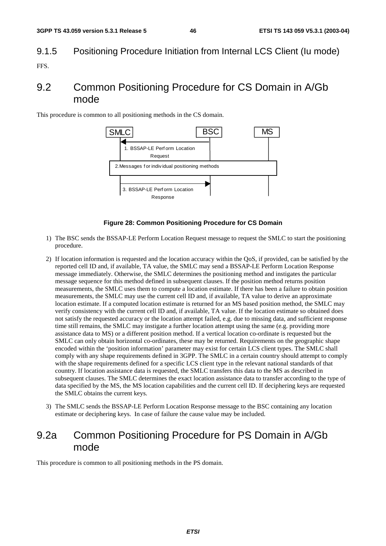# 9.1.5 Positioning Procedure Initiation from Internal LCS Client (Iu mode)

FFS.

## 9.2 Common Positioning Procedure for CS Domain in A/Gb mode

This procedure is common to all positioning methods in the CS domain.



#### **Figure 28: Common Positioning Procedure for CS Domain**

- 1) The BSC sends the BSSAP-LE Perform Location Request message to request the SMLC to start the positioning procedure.
- 2) If location information is requested and the location accuracy within the QoS, if provided, can be satisfied by the reported cell ID and, if available, TA value, the SMLC may send a BSSAP-LE Perform Location Response message immediately. Otherwise, the SMLC determines the positioning method and instigates the particular message sequence for this method defined in subsequent clauses. If the position method returns position measurements, the SMLC uses them to compute a location estimate. If there has been a failure to obtain position measurements, the SMLC may use the current cell ID and, if available, TA value to derive an approximate location estimate. If a computed location estimate is returned for an MS based position method, the SMLC may verify consistency with the current cell ID and, if available, TA value. If the location estimate so obtained does not satisfy the requested accuracy or the location attempt failed, e.g. due to missing data, and sufficient response time still remains, the SMLC may instigate a further location attempt using the same (e.g. providing more assistance data to MS) or a different position method. If a vertical location co-ordinate is requested but the SMLC can only obtain horizontal co-ordinates, these may be returned. Requirements on the geographic shape encoded within the 'position information' parameter may exist for certain LCS client types. The SMLC shall comply with any shape requirements defined in 3GPP. The SMLC in a certain country should attempt to comply with the shape requirements defined for a specific LCS client type in the relevant national standards of that country. If location assistance data is requested, the SMLC transfers this data to the MS as described in subsequent clauses. The SMLC determines the exact location assistance data to transfer according to the type of data specified by the MS, the MS location capabilities and the current cell ID. If deciphering keys are requested the SMLC obtains the current keys.
- 3) The SMLC sends the BSSAP-LE Perform Location Response message to the BSC containing any location estimate or deciphering keys. In case of failure the cause value may be included.

## 9.2a Common Positioning Procedure for PS Domain in A/Gb mode

This procedure is common to all positioning methods in the PS domain.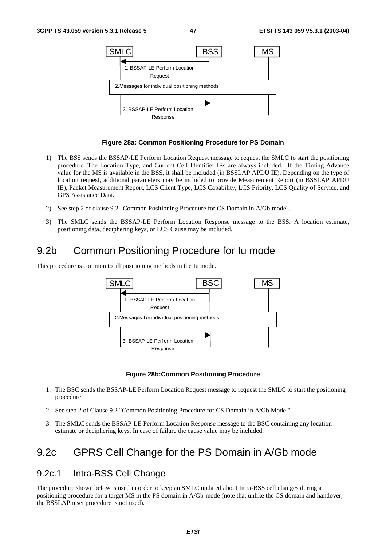

#### **Figure 28a: Common Positioning Procedure for PS Domain**

- 1) The BSS sends the BSSAP-LE Perform Location Request message to request the SMLC to start the positioning procedure. The Location Type, and Current Cell Identifier IEs are always included. If the Timing Advance value for the MS is available in the BSS, it shall be included (in BSSLAP APDU IE). Depending on the type of location request, additional parameters may be included to provide Measurement Report (in BSSLAP APDU IE), Packet Measurement Report, LCS Client Type, LCS Capability, LCS Priority, LCS Quality of Service, and GPS Assistance Data.
- 2) See step 2 of clause 9.2 "Common Positioning Procedure for CS Domain in A/Gb mode".
- 3) The SMLC sends the BSSAP-LE Perform Location Response message to the BSS. A location estimate, positioning data, deciphering keys, or LCS Cause may be included.

## 9.2b Common Positioning Procedure for Iu mode

This procedure is common to all positioning methods in the Iu mode.



#### **Figure 28b:Common Positioning Procedure**

- 1. The BSC sends the BSSAP-LE Perform Location Request message to request the SMLC to start the positioning procedure.
- 2. See step 2 of Clause 9.2 "Common Positioning Procedure for CS Domain in A/Gb Mode."
- 3. The SMLC sends the BSSAP-LE Perform Location Response message to the BSC containing any location estimate or deciphering keys. In case of failure the cause value may be included.

## 9.2c GPRS Cell Change for the PS Domain in A/Gb mode

### 9.2c.1 Intra-BSS Cell Change

The procedure shown below is used in order to keep an SMLC updated about Intra-BSS cell changes during a positioning procedure for a target MS in the PS domain in A/Gb-mode (note that unlike the CS domain and handover, the BSSLAP reset procedure is not used).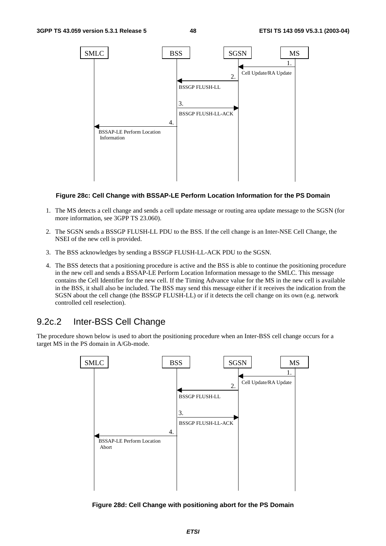

#### **Figure 28c: Cell Change with BSSAP-LE Perform Location Information for the PS Domain**

- 1. The MS detects a cell change and sends a cell update message or routing area update message to the SGSN (for more information, see 3GPP TS 23.060).
- 2. The SGSN sends a BSSGP FLUSH-LL PDU to the BSS. If the cell change is an Inter-NSE Cell Change, the NSEI of the new cell is provided.
- 3. The BSS acknowledges by sending a BSSGP FLUSH-LL-ACK PDU to the SGSN.
- 4. The BSS detects that a positioning procedure is active and the BSS is able to continue the positioning procedure in the new cell and sends a BSSAP-LE Perform Location Information message to the SMLC. This message contains the Cell Identifier for the new cell. If the Timing Advance value for the MS in the new cell is available in the BSS, it shall also be included. The BSS may send this message either if it receives the indication from the SGSN about the cell change (the BSSGP FLUSH-LL) or if it detects the cell change on its own (e.g. network controlled cell reselection).

### 9.2c.2 Inter-BSS Cell Change

The procedure shown below is used to abort the positioning procedure when an Inter-BSS cell change occurs for a target MS in the PS domain in A/Gb-mode.



**Figure 28d: Cell Change with positioning abort for the PS Domain**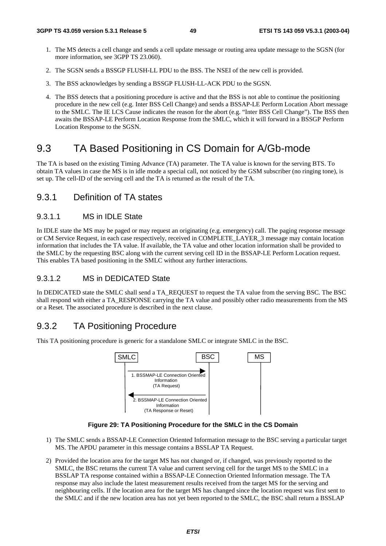- 1. The MS detects a cell change and sends a cell update message or routing area update message to the SGSN (for more information, see 3GPP TS 23.060).
- 2. The SGSN sends a BSSGP FLUSH-LL PDU to the BSS. The NSEI of the new cell is provided.
- 3. The BSS acknowledges by sending a BSSGP FLUSH-LL-ACK PDU to the SGSN.
- 4. The BSS detects that a positioning procedure is active and that the BSS is not able to continue the positioning procedure in the new cell (e.g. Inter BSS Cell Change) and sends a BSSAP-LE Perform Location Abort message to the SMLC. The IE LCS Cause indicates the reason for the abort (e.g. "Inter BSS Cell Change"). The BSS then awaits the BSSAP-LE Perform Location Response from the SMLC, which it will forward in a BSSGP Perform Location Response to the SGSN.

## 9.3 TA Based Positioning in CS Domain for A/Gb-mode

The TA is based on the existing Timing Advance (TA) parameter. The TA value is known for the serving BTS. To obtain TA values in case the MS is in idle mode a special call, not noticed by the GSM subscriber (no ringing tone), is set up. The cell-ID of the serving cell and the TA is returned as the result of the TA.

### 9.3.1 Definition of TA states

### 9.3.1.1 MS in IDLE State

In IDLE state the MS may be paged or may request an originating (e.g. emergency) call. The paging response message or CM Service Request, in each case respectively, received in COMPLETE\_LAYER\_3 message may contain location information that includes the TA value. If available, the TA value and other location information shall be provided to the SMLC by the requesting BSC along with the current serving cell ID in the BSSAP-LE Perform Location request. This enables TA based positioning in the SMLC without any further interactions.

#### 9.3.1.2 MS in DEDICATED State

In DEDICATED state the SMLC shall send a TA\_REQUEST to request the TA value from the serving BSC. The BSC shall respond with either a TA\_RESPONSE carrying the TA value and possibly other radio measurements from the MS or a Reset. The associated procedure is described in the next clause.

### 9.3.2 TA Positioning Procedure

This TA positioning procedure is generic for a standalone SMLC or integrate SMLC in the BSC.



**Figure 29: TA Positioning Procedure for the SMLC in the CS Domain** 

- 1) The SMLC sends a BSSAP-LE Connection Oriented Information message to the BSC serving a particular target MS. The APDU parameter in this message contains a BSSLAP TA Request.
- 2) Provided the location area for the target MS has not changed or, if changed, was previously reported to the SMLC, the BSC returns the current TA value and current serving cell for the target MS to the SMLC in a BSSLAP TA response contained within a BSSAP-LE Connection Oriented Information message. The TA response may also include the latest measurement results received from the target MS for the serving and neighbouring cells. If the location area for the target MS has changed since the location request was first sent to the SMLC and if the new location area has not yet been reported to the SMLC, the BSC shall return a BSSLAP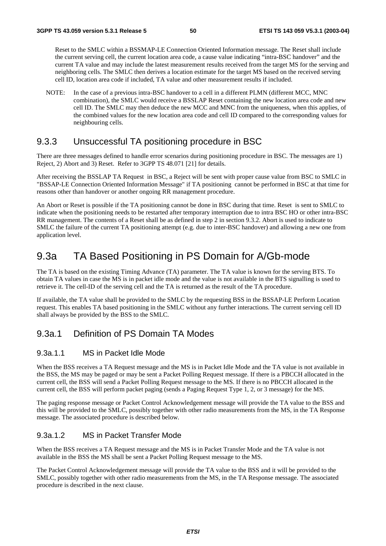Reset to the SMLC within a BSSMAP-LE Connection Oriented Information message. The Reset shall include the current serving cell, the current location area code, a cause value indicating "intra-BSC handover" and the current TA value and may include the latest measurement results received from the target MS for the serving and neighboring cells. The SMLC then derives a location estimate for the target MS based on the received serving cell ID, location area code if included, TA value and other measurement results if included.

NOTE: In the case of a previous intra-BSC handover to a cell in a different PLMN (different MCC, MNC combination), the SMLC would receive a BSSLAP Reset containing the new location area code and new cell ID. The SMLC may then deduce the new MCC and MNC from the uniqueness, when this applies, of the combined values for the new location area code and cell ID compared to the corresponding values for neighbouring cells.

### 9.3.3 Unsuccessful TA positioning procedure in BSC

There are three messages defined to handle error scenarios during positioning procedure in BSC. The messages are 1) Reject, 2) Abort and 3) Reset. Refer to 3GPP TS 48.071 [21] for details.

After receiving the BSSLAP TA Request in BSC, a Reject will be sent with proper cause value from BSC to SMLC in "BSSAP-LE Connection Oriented Information Message" if TA positioning cannot be performed in BSC at that time for reasons other than handover or another ongoing RR management procedure.

An Abort or Reset is possible if the TA positioning cannot be done in BSC during that time. Reset is sent to SMLC to indicate when the positioning needs to be restarted after temporary interruption due to intra BSC HO or other intra-BSC RR management. The contents of a Reset shall be as defined in step 2 in section 9.3.2. Abort is used to indicate to SMLC the failure of the current TA positioning attempt (e.g. due to inter-BSC handover) and allowing a new one from application level.

### 9.3a TA Based Positioning in PS Domain for A/Gb-mode

The TA is based on the existing Timing Advance (TA) parameter. The TA value is known for the serving BTS. To obtain TA values in case the MS is in packet idle mode and the value is not available in the BTS signalling is used to retrieve it. The cell-ID of the serving cell and the TA is returned as the result of the TA procedure.

If available, the TA value shall be provided to the SMLC by the requesting BSS in the BSSAP-LE Perform Location request. This enables TA based positioning in the SMLC without any further interactions. The current serving cell ID shall always be provided by the BSS to the SMLC.

### 9.3a.1 Definition of PS Domain TA Modes

#### 9.3a.1.1 MS in Packet Idle Mode

When the BSS receives a TA Request message and the MS is in Packet Idle Mode and the TA value is not available in the BSS, the MS may be paged or may be sent a Packet Polling Request message. If there is a PBCCH allocated in the current cell, the BSS will send a Packet Polling Request message to the MS. If there is no PBCCH allocated in the current cell, the BSS will perform packet paging (sends a Paging Request Type 1, 2, or 3 message) for the MS.

The paging response message or Packet Control Acknowledgement message will provide the TA value to the BSS and this will be provided to the SMLC, possibly together with other radio measurements from the MS, in the TA Response message. The associated procedure is described below.

#### 9.3a.1.2 MS in Packet Transfer Mode

When the BSS receives a TA Request message and the MS is in Packet Transfer Mode and the TA value is not available in the BSS the MS shall be sent a Packet Polling Request message to the MS.

The Packet Control Acknowledgement message will provide the TA value to the BSS and it will be provided to the SMLC, possibly together with other radio measurements from the MS, in the TA Response message. The associated procedure is described in the next clause.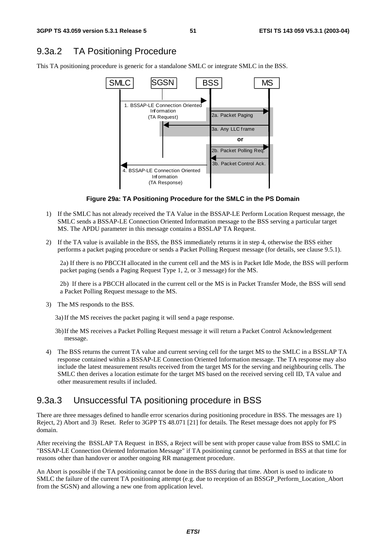### 9.3a.2 TA Positioning Procedure

This TA positioning procedure is generic for a standalone SMLC or integrate SMLC in the BSS.



**Figure 29a: TA Positioning Procedure for the SMLC in the PS Domain** 

- 1) If the SMLC has not already received the TA Value in the BSSAP-LE Perform Location Request message, the SMLC sends a BSSAP-LE Connection Oriented Information message to the BSS serving a particular target MS. The APDU parameter in this message contains a BSSLAP TA Request.
- 2) If the TA value is available in the BSS, the BSS immediately returns it in step 4, otherwise the BSS either performs a packet paging procedure or sends a Packet Polling Request message (for details, see clause 9.5.1).

2a) If there is no PBCCH allocated in the current cell and the MS is in Packet Idle Mode, the BSS will perform packet paging (sends a Paging Request Type 1, 2, or 3 message) for the MS.

2b) If there is a PBCCH allocated in the current cell or the MS is in Packet Transfer Mode, the BSS will send a Packet Polling Request message to the MS.

3) The MS responds to the BSS.

3a) If the MS receives the packet paging it will send a page response.

- 3b) If the MS receives a Packet Polling Request message it will return a Packet Control Acknowledgement message.
- 4) The BSS returns the current TA value and current serving cell for the target MS to the SMLC in a BSSLAP TA response contained within a BSSAP-LE Connection Oriented Information message. The TA response may also include the latest measurement results received from the target MS for the serving and neighbouring cells. The SMLC then derives a location estimate for the target MS based on the received serving cell ID, TA value and other measurement results if included.

### 9.3a.3 Unsuccessful TA positioning procedure in BSS

There are three messages defined to handle error scenarios during positioning procedure in BSS. The messages are 1) Reject, 2) Abort and 3) Reset. Refer to 3GPP TS 48.071 [21] for details. The Reset message does not apply for PS domain.

After receiving the BSSLAP TA Request in BSS, a Reject will be sent with proper cause value from BSS to SMLC in "BSSAP-LE Connection Oriented Information Message" if TA positioning cannot be performed in BSS at that time for reasons other than handover or another ongoing RR management procedure.

An Abort is possible if the TA positioning cannot be done in the BSS during that time. Abort is used to indicate to SMLC the failure of the current TA positioning attempt (e.g. due to reception of an BSSGP\_Perform\_Location\_Abort from the SGSN) and allowing a new one from application level.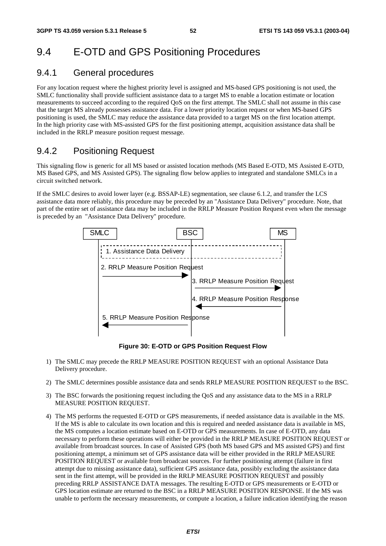## 9.4 E-OTD and GPS Positioning Procedures

### 9.4.1 General procedures

For any location request where the highest priority level is assigned and MS-based GPS positioning is not used, the SMLC functionality shall provide sufficient assistance data to a target MS to enable a location estimate or location measurements to succeed according to the required QoS on the first attempt. The SMLC shall not assume in this case that the target MS already possesses assistance data. For a lower priority location request or when MS-based GPS positioning is used, the SMLC may reduce the assistance data provided to a target MS on the first location attempt. In the high priority case with MS-assisted GPS for the first positioning attempt, acquisition assistance data shall be included in the RRLP measure position request message.

### 9.4.2 Positioning Request

This signaling flow is generic for all MS based or assisted location methods (MS Based E-OTD, MS Assisted E-OTD, MS Based GPS, and MS Assisted GPS). The signaling flow below applies to integrated and standalone SMLCs in a circuit switched network.

If the SMLC desires to avoid lower layer (e.g. BSSAP-LE) segmentation, see clause 6.1.2, and transfer the LCS assistance data more reliably, this procedure may be preceded by an "Assistance Data Delivery" procedure. Note, that part of the entire set of assistance data may be included in the RRLP Measure Position Request even when the message is preceded by an "Assistance Data Delivery" procedure.



**Figure 30: E-OTD or GPS Position Request Flow** 

- 1) The SMLC may precede the RRLP MEASURE POSITION REQUEST with an optional Assistance Data Delivery procedure.
- 2) The SMLC determines possible assistance data and sends RRLP MEASURE POSITION REQUEST to the BSC.
- 3) The BSC forwards the positioning request including the QoS and any assistance data to the MS in a RRLP MEASURE POSITION REQUEST.
- 4) The MS performs the requested E-OTD or GPS measurements, if needed assistance data is available in the MS. If the MS is able to calculate its own location and this is required and needed assistance data is available in MS, the MS computes a location estimate based on E-OTD or GPS measurements. In case of E-OTD, any data necessary to perform these operations will either be provided in the RRLP MEASURE POSITION REQUEST or available from broadcast sources. In case of Assisted GPS (both MS based GPS and MS assisted GPS) and first positioning attempt, a minimum set of GPS assistance data will be either provided in the RRLP MEASURE POSITION REQUEST or available from broadcast sources. For further positioning attempt (failure in first attempt due to missing assistance data), sufficient GPS assistance data, possibly excluding the assistance data sent in the first attempt, will be provided in the RRLP MEASURE POSITION REQUEST and possibly preceding RRLP ASSISTANCE DATA messages. The resulting E-OTD or GPS measurements or E-OTD or GPS location estimate are returned to the BSC in a RRLP MEASURE POSITION RESPONSE. If the MS was unable to perform the necessary measurements, or compute a location, a failure indication identifying the reason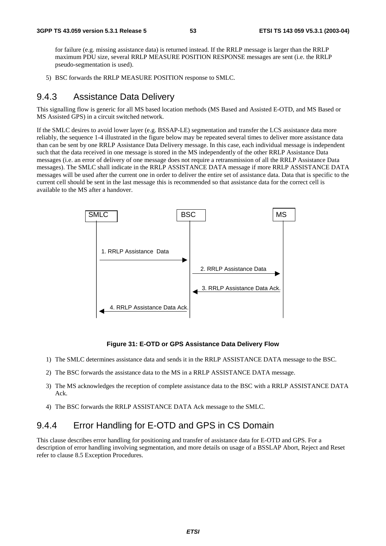for failure (e.g. missing assistance data) is returned instead. If the RRLP message is larger than the RRLP maximum PDU size, several RRLP MEASURE POSITION RESPONSE messages are sent (i.e. the RRLP pseudo-segmentation is used).

5) BSC forwards the RRLP MEASURE POSITION response to SMLC.

### 9.4.3 Assistance Data Delivery

This signalling flow is generic for all MS based location methods (MS Based and Assisted E-OTD, and MS Based or MS Assisted GPS) in a circuit switched network.

If the SMLC desires to avoid lower layer (e.g. BSSAP-LE) segmentation and transfer the LCS assistance data more reliably, the sequence 1-4 illustrated in the figure below may be repeated several times to deliver more assistance data than can be sent by one RRLP Assistance Data Delivery message. In this case, each individual message is independent such that the data received in one message is stored in the MS independently of the other RRLP Assistance Data messages (i.e. an error of delivery of one message does not require a retransmission of all the RRLP Assistance Data messages). The SMLC shall indicate in the RRLP ASSISTANCE DATA message if more RRLP ASSISTANCE DATA messages will be used after the current one in order to deliver the entire set of assistance data. Data that is specific to the current cell should be sent in the last message this is recommended so that assistance data for the correct cell is available to the MS after a handover.



#### **Figure 31: E-OTD or GPS Assistance Data Delivery Flow**

- 1) The SMLC determines assistance data and sends it in the RRLP ASSISTANCE DATA message to the BSC.
- 2) The BSC forwards the assistance data to the MS in a RRLP ASSISTANCE DATA message.
- 3) The MS acknowledges the reception of complete assistance data to the BSC with a RRLP ASSISTANCE DATA Ack.
- 4) The BSC forwards the RRLP ASSISTANCE DATA Ack message to the SMLC.

### 9.4.4 Error Handling for E-OTD and GPS in CS Domain

This clause describes error handling for positioning and transfer of assistance data for E-OTD and GPS. For a description of error handling involving segmentation, and more details on usage of a BSSLAP Abort, Reject and Reset refer to clause 8.5 Exception Procedures.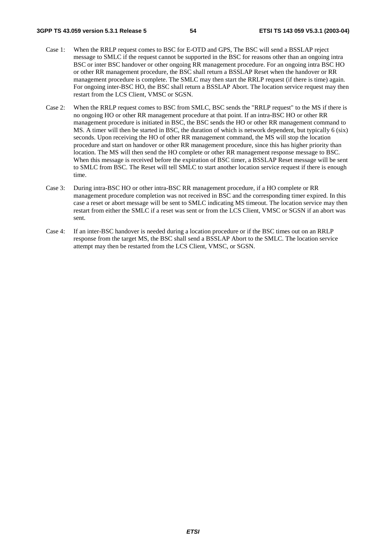- Case 1: When the RRLP request comes to BSC for E-OTD and GPS, The BSC will send a BSSLAP reject message to SMLC if the request cannot be supported in the BSC for reasons other than an ongoing intra BSC or inter BSC handover or other ongoing RR management procedure. For an ongoing intra BSC HO or other RR management procedure, the BSC shall return a BSSLAP Reset when the handover or RR management procedure is complete. The SMLC may then start the RRLP request (if there is time) again. For ongoing inter-BSC HO, the BSC shall return a BSSLAP Abort. The location service request may then restart from the LCS Client, VMSC or SGSN.
- Case 2: When the RRLP request comes to BSC from SMLC, BSC sends the "RRLP request" to the MS if there is no ongoing HO or other RR management procedure at that point. If an intra-BSC HO or other RR management procedure is initiated in BSC, the BSC sends the HO or other RR management command to MS. A timer will then be started in BSC, the duration of which is network dependent, but typically 6 (six) seconds. Upon receiving the HO of other RR management command, the MS will stop the location procedure and start on handover or other RR management procedure, since this has higher priority than location. The MS will then send the HO complete or other RR management response message to BSC. When this message is received before the expiration of BSC timer, a BSSLAP Reset message will be sent to SMLC from BSC. The Reset will tell SMLC to start another location service request if there is enough time.
- Case 3: During intra-BSC HO or other intra-BSC RR management procedure, if a HO complete or RR management procedure completion was not received in BSC and the corresponding timer expired. In this case a reset or abort message will be sent to SMLC indicating MS timeout. The location service may then restart from either the SMLC if a reset was sent or from the LCS Client, VMSC or SGSN if an abort was sent.
- Case 4: If an inter-BSC handover is needed during a location procedure or if the BSC times out on an RRLP response from the target MS, the BSC shall send a BSSLAP Abort to the SMLC. The location service attempt may then be restarted from the LCS Client, VMSC, or SGSN.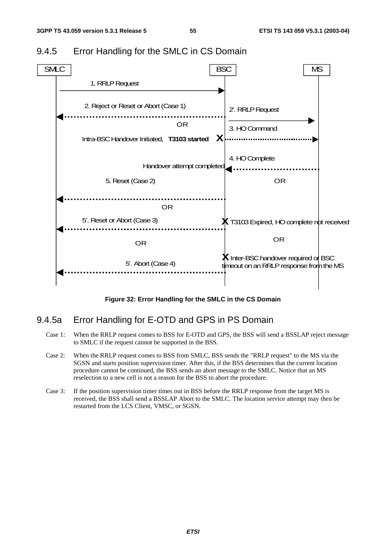

### 9.4.5 Error Handling for the SMLC in CS Domain

**Figure 32: Error Handling for the SMLC in the CS Domain** 

### 9.4.5a Error Handling for E-OTD and GPS in PS Domain

- Case 1: When the RRLP request comes to BSS for E-OTD and GPS, the BSS will send a BSSLAP reject message to SMLC if the request cannot be supported in the BSS.
- Case 2: When the RRLP request comes to BSS from SMLC, BSS sends the "RRLP request" to the MS via the SGSN and starts position supervision timer. After this, if the BSS determines that the current location procedure cannot be continued, the BSS sends an abort message to the SMLC. Notice that an MS reselection to a new cell is not a reason for the BSS to abort the procedure.
- Case 3: If the position supervision timer times out in BSS before the RRLP response from the target MS is received, the BSS shall send a BSSLAP Abort to the SMLC. The location service attempt may then be restarted from the LCS Client, VMSC, or SGSN.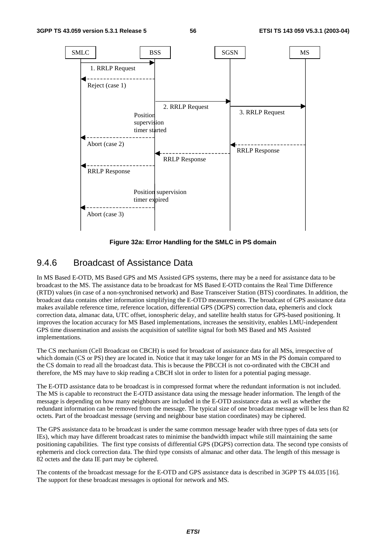![](_page_56_Figure_3.jpeg)

**Figure 32a: Error Handling for the SMLC in PS domain** 

### 9.4.6 Broadcast of Assistance Data

In MS Based E-OTD, MS Based GPS and MS Assisted GPS systems, there may be a need for assistance data to be broadcast to the MS. The assistance data to be broadcast for MS Based E-OTD contains the Real Time Difference (RTD) values (in case of a non-synchronised network) and Base Transceiver Station (BTS) coordinates. In addition, the broadcast data contains other information simplifying the E-OTD measurements. The broadcast of GPS assistance data makes available reference time, reference location, differential GPS (DGPS) correction data, ephemeris and clock correction data, almanac data, UTC offset, ionospheric delay, and satellite health status for GPS-based positioning. It improves the location accuracy for MS Based implementations, increases the sensitivity, enables LMU-independent GPS time dissemination and assists the acquisition of satellite signal for both MS Based and MS Assisted implementations.

The CS mechanism (Cell Broadcast on CBCH) is used for broadcast of assistance data for all MSs, irrespective of which domain (CS or PS) they are located in. Notice that it may take longer for an MS in the PS domain compared to the CS domain to read all the broadcast data. This is because the PBCCH is not co-ordinated with the CBCH and therefore, the MS may have to skip reading a CBCH slot in order to listen for a potential paging message.

The E-OTD assistance data to be broadcast is in compressed format where the redundant information is not included. The MS is capable to reconstruct the E-OTD assistance data using the message header information. The length of the message is depending on how many neighbours are included in the E-OTD assistance data as well as whether the redundant information can be removed from the message. The typical size of one broadcast message will be less than 82 octets. Part of the broadcast message (serving and neighbour base station coordinates) may be ciphered.

The GPS assistance data to be broadcast is under the same common message header with three types of data sets (or IEs), which may have different broadcast rates to minimise the bandwidth impact while still maintaining the same positioning capabilities. The first type consists of differential GPS (DGPS) correction data. The second type consists of ephemeris and clock correction data. The third type consists of almanac and other data. The length of this message is 82 octets and the data IE part may be ciphered.

The contents of the broadcast message for the E-OTD and GPS assistance data is described in 3GPP TS 44.035 [16]. The support for these broadcast messages is optional for network and MS.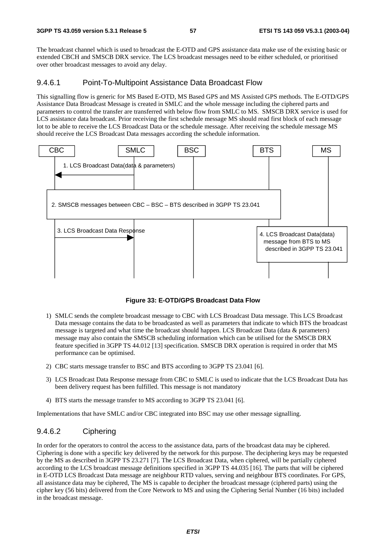The broadcast channel which is used to broadcast the E-OTD and GPS assistance data make use of the existing basic or extended CBCH and SMSCB DRX service. The LCS broadcast messages need to be either scheduled, or prioritised over other broadcast messages to avoid any delay.

#### 9.4.6.1 Point-To-Multipoint Assistance Data Broadcast Flow

This signalling flow is generic for MS Based E-OTD, MS Based GPS and MS Assisted GPS methods. The E-OTD/GPS Assistance Data Broadcast Message is created in SMLC and the whole message including the ciphered parts and parameters to control the transfer are transferred with below flow from SMLC to MS. SMSCB DRX service is used for LCS assistance data broadcast. Prior receiving the first schedule message MS should read first block of each message lot to be able to receive the LCS Broadcast Data or the schedule message. After receiving the schedule message MS should receive the LCS Broadcast Data messages according the schedule information.

![](_page_57_Figure_6.jpeg)

**Figure 33: E-OTD/GPS Broadcast Data Flow** 

- 1) SMLC sends the complete broadcast message to CBC with LCS Broadcast Data message. This LCS Broadcast Data message contains the data to be broadcasted as well as parameters that indicate to which BTS the broadcast message is targeted and what time the broadcast should happen. LCS Broadcast Data (data & parameters) message may also contain the SMSCB scheduling information which can be utilised for the SMSCB DRX feature specified in 3GPP TS 44.012 [13] specification. SMSCB DRX operation is required in order that MS performance can be optimised.
- 2) CBC starts message transfer to BSC and BTS according to 3GPP TS 23.041 [6].
- 3) LCS Broadcast Data Response message from CBC to SMLC is used to indicate that the LCS Broadcast Data has been delivery request has been fulfilled. This message is not mandatory
- 4) BTS starts the message transfer to MS according to 3GPP TS 23.041 [6].

Implementations that have SMLC and/or CBC integrated into BSC may use other message signalling.

#### 9.4.6.2 Ciphering

In order for the operators to control the access to the assistance data, parts of the broadcast data may be ciphered. Ciphering is done with a specific key delivered by the network for this purpose. The deciphering keys may be requested by the MS as described in 3GPP TS 23.271 [7]. The LCS Broadcast Data, when ciphered, will be partially ciphered according to the LCS broadcast message definitions specified in 3GPP TS 44.035 [16]. The parts that will be ciphered in E-OTD LCS Broadcast Data message are neighbour RTD values, serving and neighbour BTS coordinates. For GPS, all assistance data may be ciphered, The MS is capable to decipher the broadcast message (ciphered parts) using the cipher key (56 bits) delivered from the Core Network to MS and using the Ciphering Serial Number (16 bits) included in the broadcast message.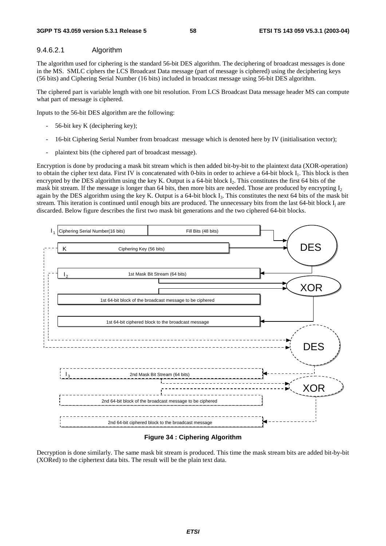#### 9.4.6.2.1 Algorithm

The algorithm used for ciphering is the standard 56-bit DES algorithm. The deciphering of broadcast messages is done in the MS. SMLC ciphers the LCS Broadcast Data message (part of message is ciphered) using the deciphering keys (56 bits) and Ciphering Serial Number (16 bits) included in broadcast message using 56-bit DES algorithm.

The ciphered part is variable length with one bit resolution. From LCS Broadcast Data message header MS can compute what part of message is ciphered.

Inputs to the 56-bit DES algorithm are the following:

- 56-bit key K (deciphering key);
- 16-bit Ciphering Serial Number from broadcast message which is denoted here by IV (initialisation vector);
- plaintext bits (the ciphered part of broadcast message).

Encryption is done by producing a mask bit stream which is then added bit-by-bit to the plaintext data (XOR-operation) to obtain the cipher text data. First IV is concatenated with 0-bits in order to achieve a 64-bit block I<sub>1</sub>. This block is then encrypted by the DES algorithm using the key K. Output is a 64-bit block I<sub>2</sub>. This constitutes the first 64 bits of the mask bit stream. If the message is longer than 64 bits, then more bits are needed. Those are produced by encrypting  $I_2$ again by the DES algorithm using the key K. Output is a 64-bit block  $I_3$ . This constitutes the next 64 bits of the mask bit stream. This iteration is continued until enough bits are produced. The unnecessary bits from the last 64-bit block I<sub>i</sub> are discarded. Below figure describes the first two mask bit generations and the two ciphered 64-bit blocks.

![](_page_58_Figure_11.jpeg)

**Figure 34 : Ciphering Algorithm** 

Decryption is done similarly. The same mask bit stream is produced. This time the mask stream bits are added bit-by-bit (XORed) to the ciphertext data bits. The result will be the plain text data.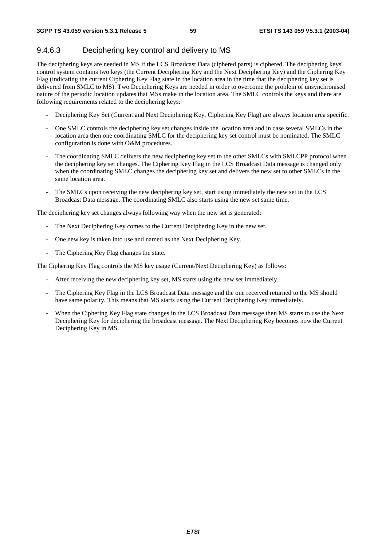### 9.4.6.3 Deciphering key control and delivery to MS

The deciphering keys are needed in MS if the LCS Broadcast Data (ciphered parts) is ciphered. The deciphering keys' control system contains two keys (the Current Deciphering Key and the Next Deciphering Key) and the Ciphering Key Flag (indicating the current Ciphering Key Flag state in the location area in the time that the deciphering key set is delivered from SMLC to MS). Two Deciphering Keys are needed in order to overcome the problem of unsynchronised nature of the periodic location updates that MSs make in the location area. The SMLC controls the keys and there are following requirements related to the deciphering keys:

- Deciphering Key Set (Current and Next Deciphering Key, Ciphering Key Flag) are always location area specific.
- One SMLC controls the deciphering key set changes inside the location area and in case several SMLCs in the location area then one coordinating SMLC for the deciphering key set control must be nominated. The SMLC configuration is done with O&M procedures.
- The coordinating SMLC delivers the new deciphering key set to the other SMLCs with SMLCPP protocol when the deciphering key set changes. The Ciphering Key Flag in the LCS Broadcast Data message is changed only when the coordinating SMLC changes the deciphering key set and delivers the new set to other SMLCs in the same location area.
- The SMLCs upon receiving the new deciphering key set, start using immediately the new set in the LCS Broadcast Data message. The coordinating SMLC also starts using the new set same time.

The deciphering key set changes always following way when the new set is generated:

- The Next Deciphering Key comes to the Current Deciphering Key in the new set.
- One new key is taken into use and named as the Next Deciphering Key.
- The Ciphering Key Flag changes the state.

The Ciphering Key Flag controls the MS key usage (Current/Next Deciphering Key) as follows:

- After receiving the new deciphering key set, MS starts using the new set immediately.
- The Ciphering Key Flag in the LCS Broadcast Data message and the one received returned to the MS should have same polarity. This means that MS starts using the Current Deciphering Key immediately.
- When the Ciphering Key Flag state changes in the LCS Broadcast Data message then MS starts to use the Next Deciphering Key for deciphering the broadcast message. The Next Deciphering Key becomes now the Current Deciphering Key in MS.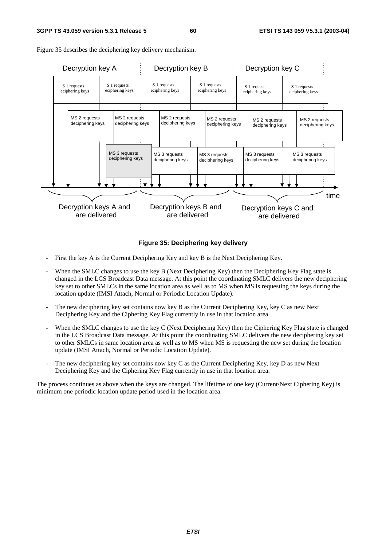![](_page_60_Figure_3.jpeg)

Figure 35 describes the deciphering key delivery mechanism.

#### **Figure 35: Deciphering key delivery**

- First the key A is the Current Deciphering Key and key B is the Next Deciphering Key.
- When the SMLC changes to use the key B (Next Deciphering Key) then the Deciphering Key Flag state is changed in the LCS Broadcast Data message. At this point the coordinating SMLC delivers the new deciphering key set to other SMLCs in the same location area as well as to MS when MS is requesting the keys during the location update (IMSI Attach, Normal or Periodic Location Update).
- The new deciphering key set contains now key B as the Current Deciphering Key, key C as new Next Deciphering Key and the Ciphering Key Flag currently in use in that location area.
- When the SMLC changes to use the key C (Next Deciphering Key) then the Ciphering Key Flag state is changed in the LCS Broadcast Data message. At this point the coordinating SMLC delivers the new deciphering key set to other SMLCs in same location area as well as to MS when MS is requesting the new set during the location update (IMSI Attach, Normal or Periodic Location Update).
- The new deciphering key set contains now key C as the Current Deciphering Key, key D as new Next Deciphering Key and the Ciphering Key Flag currently in use in that location area.

The process continues as above when the keys are changed. The lifetime of one key (Current/Next Ciphering Key) is minimum one periodic location update period used in the location area.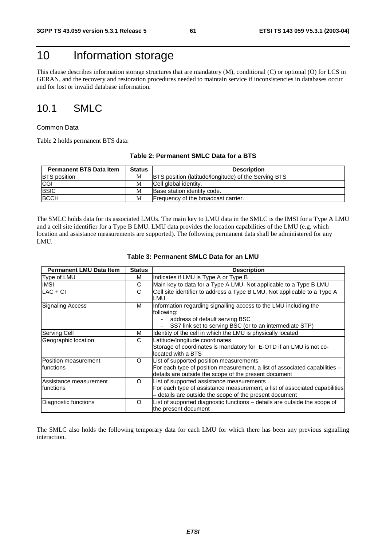## 10 Information storage

This clause describes information storage structures that are mandatory (M), conditional (C) or optional (O) for LCS in GERAN, and the recovery and restoration procedures needed to maintain service if inconsistencies in databases occur and for lost or invalid database information.

## 10.1 SMLC

#### Common Data

Table 2 holds permanent BTS data:

#### **Table 2: Permanent SMLC Data for a BTS**

| <b>Permanent BTS Data Item</b> | <b>Status</b> | <b>Description</b>                                          |
|--------------------------------|---------------|-------------------------------------------------------------|
| <b>BTS</b> position            | М             | <b>BTS</b> position (latitude/longitude) of the Serving BTS |
| CGI                            | М             | Cell global identity.                                       |
| <b>BSIC</b>                    | М             | Base station identity code.                                 |
| <b>BCCH</b>                    | M             | Frequency of the broadcast carrier.                         |

The SMLC holds data for its associated LMUs. The main key to LMU data in the SMLC is the IMSI for a Type A LMU and a cell site identifier for a Type B LMU. LMU data provides the location capabilities of the LMU (e.g. which location and assistance measurements are supported). The following permanent data shall be administered for any LMU.

| <b>Permanent LMU Data Item</b>      | <b>Status</b> | <b>Description</b>                                                                                                                                                                 |
|-------------------------------------|---------------|------------------------------------------------------------------------------------------------------------------------------------------------------------------------------------|
| Type of LMU                         | M             | Indicates if LMU is Type A or Type B                                                                                                                                               |
| <b>IMSI</b>                         | С             | Main key to data for a Type A LMU. Not applicable to a Type B LMU                                                                                                                  |
| $LAC + CI$                          | C             | Cell site identifier to address a Type B LMU. Not applicable to a Type A<br>LMU.                                                                                                   |
| <b>Signaling Access</b>             | M             | Information regarding signalling access to the LMU including the<br>following:<br>address of default serving BSC<br>SS7 link set to serving BSC (or to an intermediate STP)        |
| Serving Cell                        | м             | Identity of the cell in which the LMU is physically located                                                                                                                        |
| Geographic location                 | C             | Latitude/longitude coordinates<br>Storage of coordinates is mandatory for E-OTD if an LMU is not co-<br>located with a BTS                                                         |
| Position measurement<br>functions   | O             | List of supported position measurements<br>For each type of position measurement, a list of associated capabilities -<br>details are outside the scope of the present document     |
| Assistance measurement<br>functions | O             | List of supported assistance measurements<br>For each type of assistance measurement, a list of associated capabilities<br>- details are outside the scope of the present document |
| Diagnostic functions                | O             | List of supported diagnostic functions - details are outside the scope of<br>the present document                                                                                  |

#### **Table 3: Permanent SMLC Data for an LMU**

The SMLC also holds the following temporary data for each LMU for which there has been any previous signalling interaction.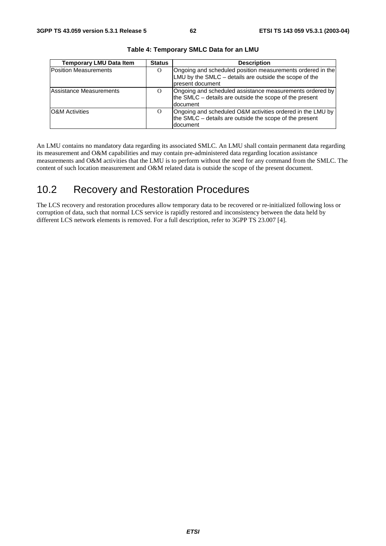| <b>Temporary LMU Data Item</b> | <b>Status</b> | <b>Description</b>                                                                                                                        |
|--------------------------------|---------------|-------------------------------------------------------------------------------------------------------------------------------------------|
| <b>Position Measurements</b>   | O             | Ongoing and scheduled position measurements ordered in the<br>LMU by the SMLC - details are outside the scope of the<br>Ipresent document |
| Assistance Measurements        | $\Omega$      | Ongoing and scheduled assistance measurements ordered by<br>the SMLC – details are outside the scope of the present<br>document           |
| <b>O&amp;M</b> Activities      | $\Omega$      | Ongoing and scheduled O&M activities ordered in the LMU by<br>the SMLC – details are outside the scope of the present<br><b>document</b>  |

**Table 4: Temporary SMLC Data for an LMU** 

An LMU contains no mandatory data regarding its associated SMLC. An LMU shall contain permanent data regarding its measurement and O&M capabilities and may contain pre-administered data regarding location assistance measurements and O&M activities that the LMU is to perform without the need for any command from the SMLC. The content of such location measurement and O&M related data is outside the scope of the present document.

## 10.2 Recovery and Restoration Procedures

The LCS recovery and restoration procedures allow temporary data to be recovered or re-initialized following loss or corruption of data, such that normal LCS service is rapidly restored and inconsistency between the data held by different LCS network elements is removed. For a full description, refer to 3GPP TS 23.007 [4].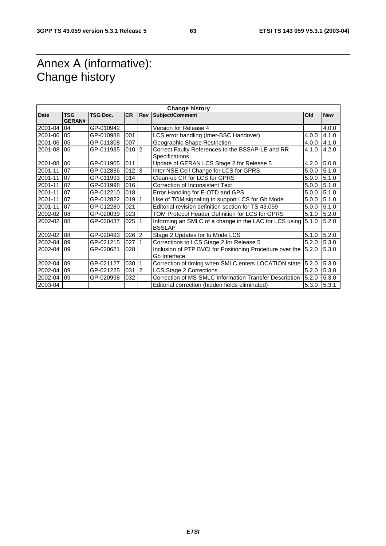## Annex A (informative): Change history

| <b>Change history</b> |                             |                 |           |     |                                                                           |       |            |
|-----------------------|-----------------------------|-----------------|-----------|-----|---------------------------------------------------------------------------|-------|------------|
| <b>Date</b>           | <b>TSG</b><br><b>GERAN#</b> | <b>TSG Doc.</b> | <b>CR</b> | Rev | Subject/Comment                                                           | Old   | <b>New</b> |
| 2001-04               | 04                          | GP-010942       |           |     | Version for Release 4                                                     |       | 4.0.0      |
| 2001-06               | 05                          | GP-010988       | 001       |     | LCS error handling (Inter-BSC Handover)                                   | 4.0.0 | 4.1.0      |
| 2001-06               | 05                          | GP-011308       | 007       |     | Geographic Shape Restriction                                              | 4.0.0 | 4.1.0      |
| 2001-08               | 06                          | GP-011935       | $010$ 2   |     | Correct Faulty References to the BSSAP-LE and RR<br><b>Specifications</b> | 4.1.0 | 4.2.0      |
| 2001-08               | 06                          | GP-011905       | 011       |     | Update of GERAN LCS Stage 2 for Release 5                                 | 4.2.0 | 5.0.0      |
| 2001-11               | 07                          | GP-012836       | $012$ 3   |     | Inter NSE Cell Change for LCS for GPRS                                    | 5.0.0 | 5.1.0      |
| 2001-11               | 07                          | GP-011993       | 014       |     | Clean-up CR for LCS for GPRS                                              | 5.0.0 | 5.1.0      |
| 2001-11               | 07                          | GP-011998       | 016       |     | Correction of Inconsistent Text                                           | 5.0.0 | 5.1.0      |
| 2001-11               | 07                          | GP-012210       | 018       |     | Error Handling for E-OTD and GPS                                          | 5.0.0 | 5.1.0      |
| 2001-11               | 07                          | GP-012822       | 019       |     | Use of TOM signaling to support LCS for Gb Mode                           | 5.0.0 | 5.1.0      |
| 2001-11               | 07                          | GP-012280       | 021       |     | Editorial revision definition section for TS 43.059                       | 5.0.0 | 5.1.0      |
| 2002-02               | 08                          | GP-020039       | 023       |     | TOM Protocol Header Definition for LCS for GPRS                           | 5.1.0 | 5.2.0      |
| 2002-02               | 08                          | GP-020437       | 025 1     |     | Informing an SMLC of a change in the LAC for LCS using<br><b>BSSLAP</b>   | 5.1.0 | 5.2.0      |
| 2002-02               | 08                          | GP-020493       | $026$ 2   |     | Stage 2 Updates for Iu Mode LCS                                           | 5.1.0 | 5.2.0      |
| 2002-04               | 09                          | GP-021215       | 027       |     | Corrections to LCS Stage 2 for Release 5                                  | 5.2.0 | 5.3.0      |
| 2002-04               | 09                          | GP-020621       | 028       |     | Inclusion of PTP BVCI for Positioning Procedure over the<br>Gb Interface  | 5.2.0 | 5.3.0      |
| 2002-04               | 09                          | GP-021127       | 030       |     | Correction of timing when SMLC enters LOCATION state                      | 5.2.0 | 5.3.0      |
| 2002-04               | 09                          | GP-021225       | $031$ 2   |     | <b>LCS Stage 2 Corrections</b>                                            | 5.2.0 | 5.3.0      |
| 2002-04               | 09                          | GP-020998       | 032       |     | Correction of MS-SMLC Information Transfer Description                    | 5.2.0 | 5.3.0      |
| 2003-04               |                             |                 |           |     | Editorial correction (hidden fields eliminated)                           | 5.3.0 | 5.3.1      |